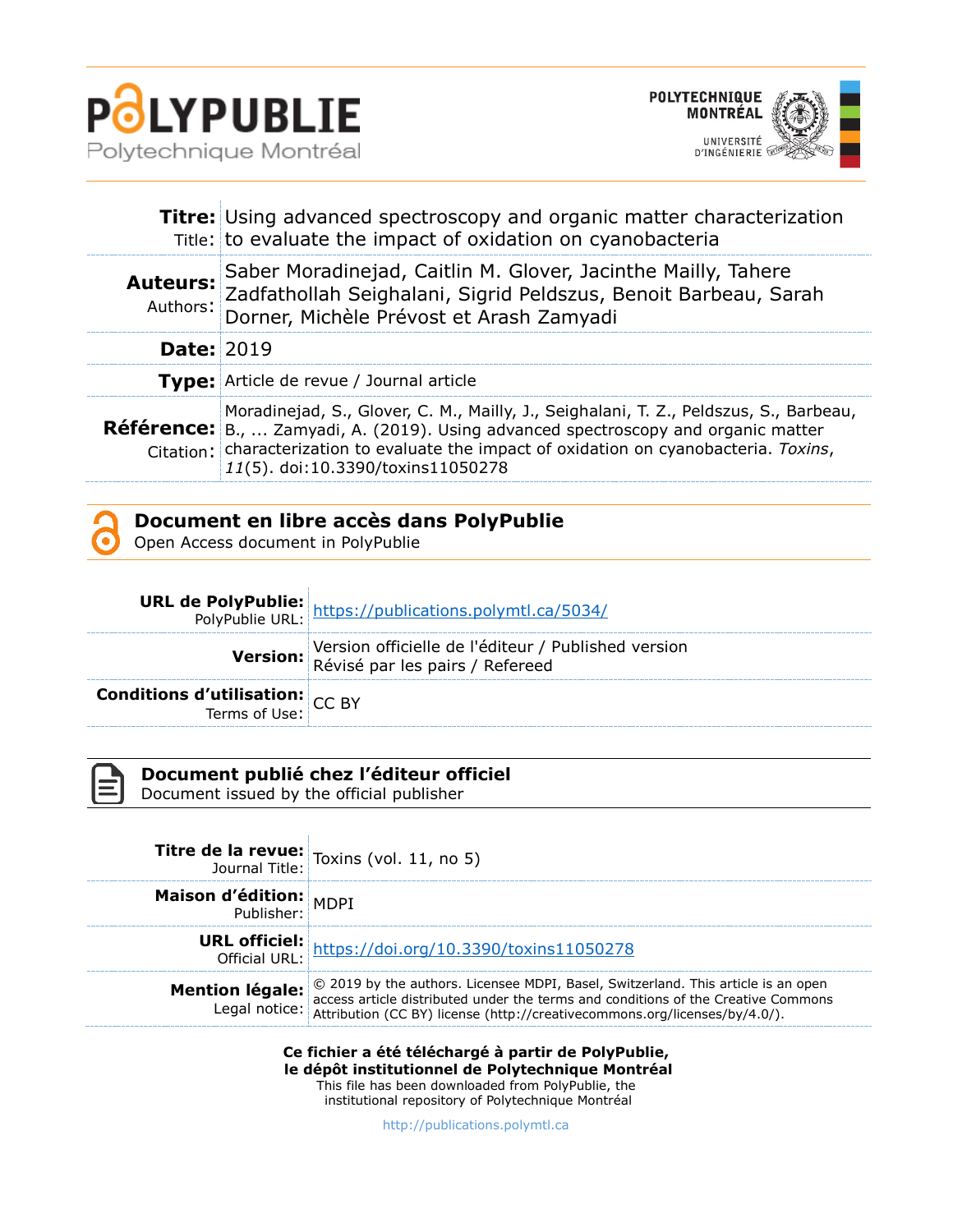



|                   | <b>Titre:</b> Using advanced spectroscopy and organic matter characterization<br>Title: to evaluate the impact of oxidation on cyanobacteria                                                                                                                                                                    |  |
|-------------------|-----------------------------------------------------------------------------------------------------------------------------------------------------------------------------------------------------------------------------------------------------------------------------------------------------------------|--|
|                   | Auteurs: Saber Moradinejad, Caitlin M. Glover, Jacinthe Mailly, Tahere<br>Authors: Zadfathollah Seighalani, Sigrid Peldszus, Benoit Barbeau, Sarah<br>Dorner, Michèle Prévost et Arash Zamyadi                                                                                                                  |  |
| <b>Date: 2019</b> |                                                                                                                                                                                                                                                                                                                 |  |
|                   | <b>Type:</b> Article de revue / Journal article                                                                                                                                                                                                                                                                 |  |
|                   | Moradinejad, S., Glover, C. M., Mailly, J., Seighalani, T. Z., Peldszus, S., Barbeau,<br>Référence: B.,  Zamyadi, A. (2019). Using advanced spectroscopy and organic matter<br>Citation: characterization to evaluate the impact of oxidation on cyanobacteria. Toxins,<br>$11(5)$ . doi:10.3390/toxins11050278 |  |

Open Access document in PolyPublie

|                                                           | <b>URL de PolyPublie:</b> https://publications.polymtl.ca/5034/<br>PolyPublie URL: https://publications.polymtl.ca/5034/ |
|-----------------------------------------------------------|--------------------------------------------------------------------------------------------------------------------------|
|                                                           | Version officielle de l'éditeur / Published version<br>Révisé par les pairs / Refereed                                   |
| <b>Conditions d'utilisation:</b> $CC$ BY<br>Terms of Use: |                                                                                                                          |



# **Document publié chez l'éditeur officiel**

Document issued by the official publisher

Ŷ.

|                        | <b>Titre de la revue:</b> Toxins (vol. 11, no 5)                                                                                                                                                                                         |
|------------------------|------------------------------------------------------------------------------------------------------------------------------------------------------------------------------------------------------------------------------------------|
| Maison d'édition: MDPI |                                                                                                                                                                                                                                          |
|                        | <b>URL officiel:</b><br>Official URL: https://doi.org/10.3390/toxins11050278                                                                                                                                                             |
|                        | <b>Mention légale:</b> © 2019 by the authors. Licensee MDPI, Basel, Switzerland. This article is an open<br>legal notice: access article distributed under the terms and conditions of the Creative Commons<br>Legal notice: Attribution |

**Ce fichier a été téléchargé à partir de PolyPublie, le dépôt institutionnel de Polytechnique Montréal** This file has been downloaded from PolyPublie, the institutional repository of Polytechnique Montréal

[http://publications.polymtl.ca](http://publications.polymtl.ca/)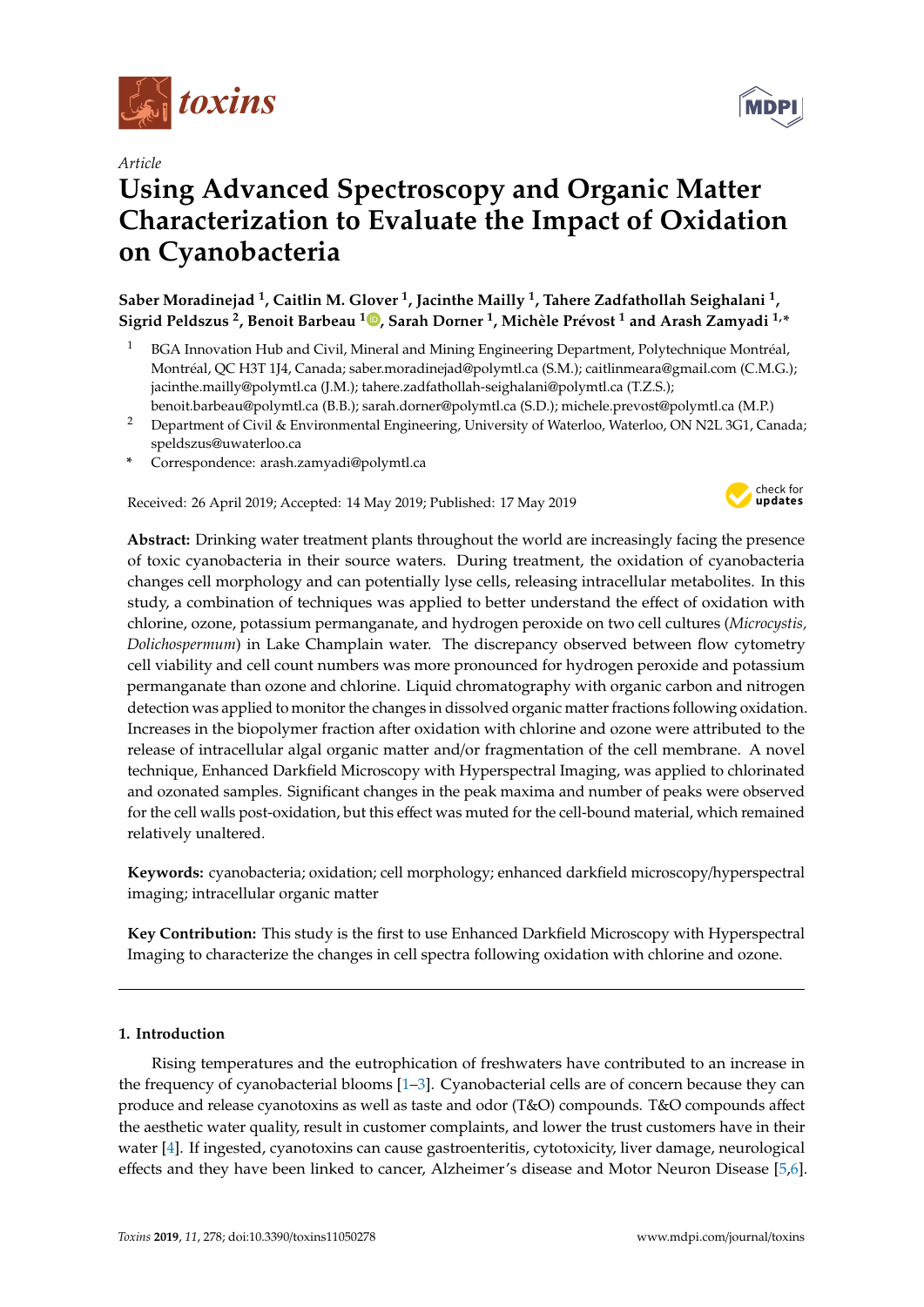

*Article*

# **Using Advanced Spectroscopy and Organic Matter Characterization to Evaluate the Impact of Oxidation on Cyanobacteria**

**Saber Moradinejad <sup>1</sup> , Caitlin M. Glover <sup>1</sup> , Jacinthe Mailly <sup>1</sup> , Tahere Zadfathollah Seighalani <sup>1</sup> , Sigrid Peldszus <sup>2</sup> , Benoit Barbeau <sup>1</sup> [,](https://orcid.org/0000-0002-4108-8155) Sarah Dorner <sup>1</sup> , Michèle Prévost <sup>1</sup> and Arash Zamyadi 1,\***

- <sup>1</sup> BGA Innovation Hub and Civil, Mineral and Mining Engineering Department, Polytechnique Montréal, Montréal, QC H3T 1J4, Canada; saber.moradinejad@polymtl.ca (S.M.); caitlinmeara@gmail.com (C.M.G.); jacinthe.mailly@polymtl.ca (J.M.); tahere.zadfathollah-seighalani@polymtl.ca (T.Z.S.);
- benoit.barbeau@polymtl.ca (B.B.); sarah.dorner@polymtl.ca (S.D.); michele.prevost@polymtl.ca (M.P.) <sup>2</sup> Department of Civil & Environmental Engineering, University of Waterloo, Waterloo, ON N2L 3G1, Canada; speldszus@uwaterloo.ca
- **\*** Correspondence: arash.zamyadi@polymtl.ca

Received: 26 April 2019; Accepted: 14 May 2019; Published: 17 May 2019



**Abstract:** Drinking water treatment plants throughout the world are increasingly facing the presence of toxic cyanobacteria in their source waters. During treatment, the oxidation of cyanobacteria changes cell morphology and can potentially lyse cells, releasing intracellular metabolites. In this study, a combination of techniques was applied to better understand the effect of oxidation with chlorine, ozone, potassium permanganate, and hydrogen peroxide on two cell cultures (*Microcystis, Dolichospermum*) in Lake Champlain water. The discrepancy observed between flow cytometry cell viability and cell count numbers was more pronounced for hydrogen peroxide and potassium permanganate than ozone and chlorine. Liquid chromatography with organic carbon and nitrogen detection was applied to monitor the changes in dissolved organic matter fractions following oxidation. Increases in the biopolymer fraction after oxidation with chlorine and ozone were attributed to the release of intracellular algal organic matter and/or fragmentation of the cell membrane. A novel technique, Enhanced Darkfield Microscopy with Hyperspectral Imaging, was applied to chlorinated and ozonated samples. Significant changes in the peak maxima and number of peaks were observed for the cell walls post-oxidation, but this effect was muted for the cell-bound material, which remained relatively unaltered.

**Keywords:** cyanobacteria; oxidation; cell morphology; enhanced darkfield microscopy/hyperspectral imaging; intracellular organic matter

**Key Contribution:** This study is the first to use Enhanced Darkfield Microscopy with Hyperspectral Imaging to characterize the changes in cell spectra following oxidation with chlorine and ozone.

# **1. Introduction**

Rising temperatures and the eutrophication of freshwaters have contributed to an increase in the frequency of cyanobacterial blooms [\[1](#page-11-0)[–3\]](#page-11-1). Cyanobacterial cells are of concern because they can produce and release cyanotoxins as well as taste and odor (T&O) compounds. T&O compounds affect the aesthetic water quality, result in customer complaints, and lower the trust customers have in their water [\[4\]](#page-11-2). If ingested, cyanotoxins can cause gastroenteritis, cytotoxicity, liver damage, neurological effects and they have been linked to cancer, Alzheimer's disease and Motor Neuron Disease [\[5,](#page-12-0)[6\]](#page-12-1).

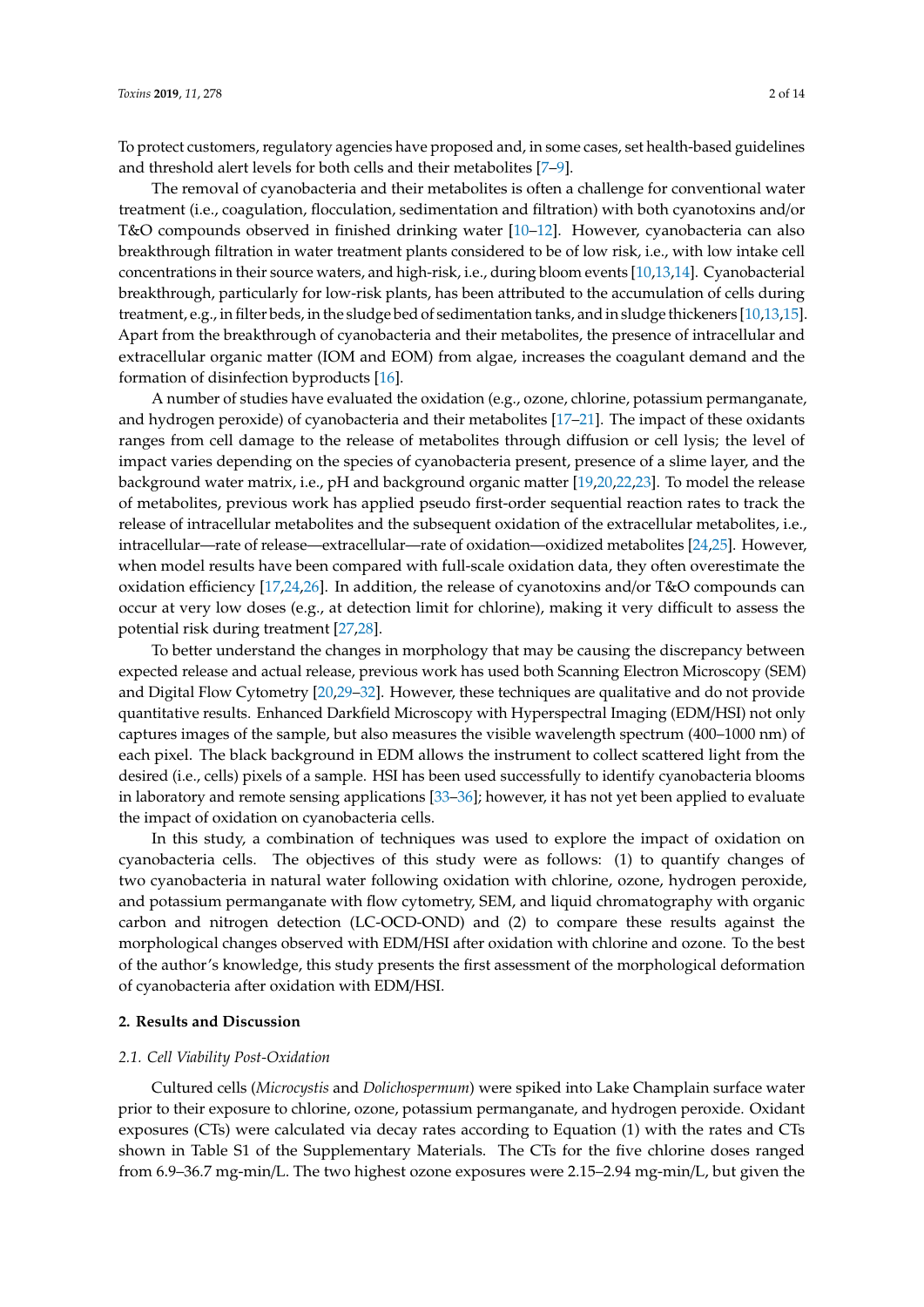To protect customers, regulatory agencies have proposed and, in some cases, set health-based guidelines and threshold alert levels for both cells and their metabolites [\[7–](#page-12-2)[9\]](#page-12-3).

The removal of cyanobacteria and their metabolites is often a challenge for conventional water treatment (i.e., coagulation, flocculation, sedimentation and filtration) with both cyanotoxins and/or T&O compounds observed in finished drinking water [\[10](#page-12-4)[–12\]](#page-12-5). However, cyanobacteria can also breakthrough filtration in water treatment plants considered to be of low risk, i.e., with low intake cell concentrations in their source waters, and high-risk, i.e., during bloom events [\[10](#page-12-4)[,13,](#page-12-6)[14\]](#page-12-7). Cyanobacterial breakthrough, particularly for low-risk plants, has been attributed to the accumulation of cells during treatment, e.g., in filter beds, in the sludge bed of sedimentation tanks, and in sludge thickeners [\[10](#page-12-4)[,13](#page-12-6)[,15\]](#page-12-8). Apart from the breakthrough of cyanobacteria and their metabolites, the presence of intracellular and extracellular organic matter (IOM and EOM) from algae, increases the coagulant demand and the formation of disinfection byproducts [\[16\]](#page-12-9).

A number of studies have evaluated the oxidation (e.g., ozone, chlorine, potassium permanganate, and hydrogen peroxide) of cyanobacteria and their metabolites [\[17–](#page-12-10)[21\]](#page-12-11). The impact of these oxidants ranges from cell damage to the release of metabolites through diffusion or cell lysis; the level of impact varies depending on the species of cyanobacteria present, presence of a slime layer, and the background water matrix, i.e., pH and background organic matter [\[19](#page-12-12)[,20](#page-12-13)[,22,](#page-12-14)[23\]](#page-12-15). To model the release of metabolites, previous work has applied pseudo first-order sequential reaction rates to track the release of intracellular metabolites and the subsequent oxidation of the extracellular metabolites, i.e., intracellular—rate of release—extracellular—rate of oxidation—oxidized metabolites [\[24](#page-12-16)[,25\]](#page-12-17). However, when model results have been compared with full-scale oxidation data, they often overestimate the oxidation efficiency [\[17,](#page-12-10)[24,](#page-12-16)[26\]](#page-13-0). In addition, the release of cyanotoxins and/or T&O compounds can occur at very low doses (e.g., at detection limit for chlorine), making it very difficult to assess the potential risk during treatment [\[27,](#page-13-1)[28\]](#page-13-2).

To better understand the changes in morphology that may be causing the discrepancy between expected release and actual release, previous work has used both Scanning Electron Microscopy (SEM) and Digital Flow Cytometry [\[20](#page-12-13)[,29](#page-13-3)[–32\]](#page-13-4). However, these techniques are qualitative and do not provide quantitative results. Enhanced Darkfield Microscopy with Hyperspectral Imaging (EDM/HSI) not only captures images of the sample, but also measures the visible wavelength spectrum (400–1000 nm) of each pixel. The black background in EDM allows the instrument to collect scattered light from the desired (i.e., cells) pixels of a sample. HSI has been used successfully to identify cyanobacteria blooms in laboratory and remote sensing applications [\[33–](#page-13-5)[36\]](#page-13-6); however, it has not yet been applied to evaluate the impact of oxidation on cyanobacteria cells.

In this study, a combination of techniques was used to explore the impact of oxidation on cyanobacteria cells. The objectives of this study were as follows: (1) to quantify changes of two cyanobacteria in natural water following oxidation with chlorine, ozone, hydrogen peroxide, and potassium permanganate with flow cytometry, SEM, and liquid chromatography with organic carbon and nitrogen detection (LC-OCD-OND) and (2) to compare these results against the morphological changes observed with EDM/HSI after oxidation with chlorine and ozone. To the best of the author's knowledge, this study presents the first assessment of the morphological deformation of cyanobacteria after oxidation with EDM/HSI.

#### **2. Results and Discussion**

#### *2.1. Cell Viability Post-Oxidation*

Cultured cells (*Microcystis* and *Dolichospermum*) were spiked into Lake Champlain surface water prior to their exposure to chlorine, ozone, potassium permanganate, and hydrogen peroxide. Oxidant exposures (CTs) were calculated via decay rates according to Equation (1) with the rates and CTs shown in Table S1 of the Supplementary Materials. The CTs for the five chlorine doses ranged from 6.9–36.7 mg-min/L. The two highest ozone exposures were 2.15–2.94 mg-min/L, but given the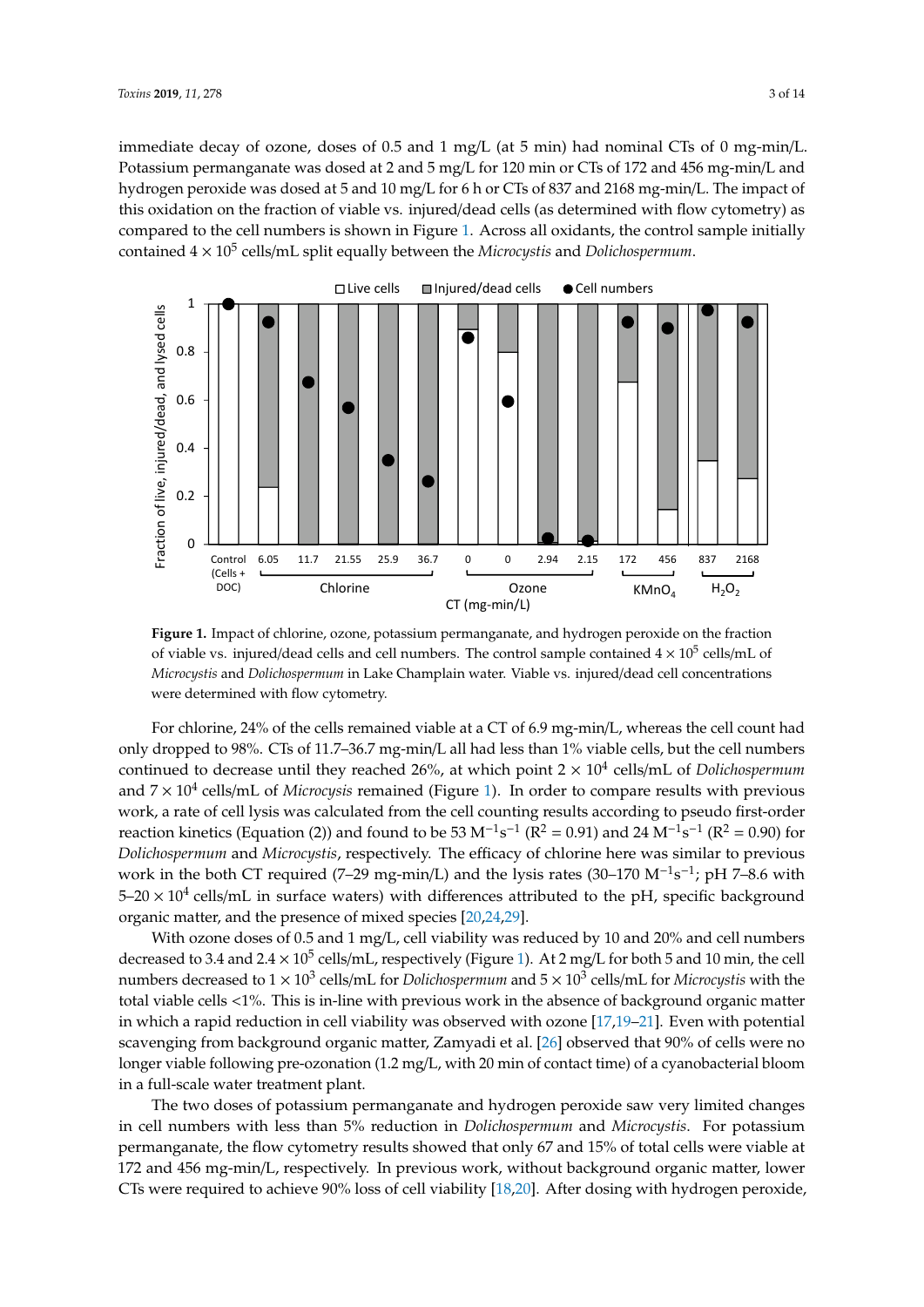immediate decay of ozone, doses of 0.5 and 1 mg/L (at 5 min) had nominal CTs of 0 mg-min/L. Potassium permanganate was dosed at 2 and 5 mg/L for 120 min or CTs of 172 and 456 mg-min/L and hydrogen peroxide was dosed at 5 and 10 mg/L for 6 h or CTs of 837 and 2168 mg-min/L. The impact of this oxidation on the fraction of viable vs. injured/dead cells (as determined with flow cytometry) as compared to the cell numbers is shown in Figure [1.](#page-3-0) Across all oxidants, the control sample initially contained 4 × 10<sup>5</sup> cells/mL split equally between the *Microcystis* and *Dolichospermum*. sample initially contained 4 × 105 cells/mL split equally between the *Microcystis* and *Dolichospermum*.

<span id="page-3-0"></span>

**Figure 1.** Impact of chlorine, ozone, potassium permanganate, and hydrogen peroxide on the fraction **Figure 1.** Impact of chlorine, ozone, potassium permanganate, and hydrogen peroxide on the fraction of viable vs. injured/dead cells and cell numbers. The control sample contained  $4 \times 10^5$  cells/mL of Microcystis and Dolichospermum in Lake Champlain water. Viable vs. injured/dead cell concentrations were determined with flow cytometry. were determined with flow cytometry.

For chlorine, 24% of the cells remained viable at a CT of 6.9 mg-min/L, whereas the cell count For chlorine, 24% of the cells remained viable at a CT of 6.9 mg-min/L, whereas the cell count had only dropped to 98%. CTs of 11.7–36.7 mg-min/L all had less than 1% viable cells, but the cell numbers continued to decrease until they reached 26%, at which point  $2 \times 10^4$  cells/mL of *Dolichospermum* and  $7 \times 10^4$  cells/mL of *Microcysis* r[em](#page-3-0)ained (Figure 1). In order to compare results with previous work, a rate of cell lysis was calculated from the cell counting results according to pseudo first-order reaction kinetics (Equation (2)) and found to be  $53 \text{ M}^{-1}\text{s}^{-1}$  ( $\text{R}^2 = 0.91$ ) and  $24 \text{ M}^{-1}\text{s}^{-1}$  ( $\text{R}^2 = 0.90$ ) for Dolichospermum and Microcystis, respectively. The efficacy of chlorine here was similar to previous work in the both CT required (7–29 mg-min/L) and the lysis rates (30–170 M<sup>-1</sup>s<sup>-1</sup>; pH 7–8.6 with  $5-20 \times 10^4$  cells/mL in surface waters) with differences attributed to the pH, specific background organic matter, and the presence of mixed species [20,24,29]. organic matter, and the presence of mixed species [\[20](#page-12-13)[,24,](#page-12-16)[29\]](#page-13-3).

With ozone doses of 0.5 and 1 mg/L, cell viability was reduced by 10 and 20% and cell numbers With ozone doses of 0.5 and 1 mg/L, cell viability was reduced by 10 and 20% and cell numbers decreased to 3.4 and 2.4  $\times$  10<sup>5</sup> cells/mL, respectively (Figure [1\)](#page-3-0). At 2 mg/L for both 5 and 10 min, the cell numbers decreased to  $1 \times 10^3$  cells/mL for *Dolichospermum* and  $5 \times 10^3$  cells/mL for *Microcystis* with the with the total viable cells <1%. This is in-line with previous work in the absence of background total viable cells <1%. This is in-line with previous work in the absence of background organic matter organic matter in which a rapid reduction in cell via bility was observed with our cell via bility was observed with our cell via bility was observed with our cell via bility was observed with our cell via bility was obser in which a rapid reduction in cell viability was observed with ozone  $[17,19-21]$  $[17,19-21]$  $[17,19-21]$ . Even with potential scavenging from background organic matter, Zamyadi et al. [\[26\]](#page-13-0) observed that 90% of cells were no longer viable following pre-ozonation (1.2 mg/L, with 20 min of contact time) of a cyanobacterial bloom in a full-scale water treatment plant.

The two doses of potassium permanganate and hydrogen peroxide saw very limited changes in cell numbers with less than 5% reduction in *Dolichospermum* and *Microcystis*. For potassium permanganate, the flow cytometry results showed that only 67 and 15% of total cells were viable at 172 and 456 mg-min/L, respectively. In previous work, without background organic matter, lower CTs were required to achieve 90% loss of cell viability [\[18,](#page-12-18)[20\]](#page-12-13). After dosing with hydrogen peroxide,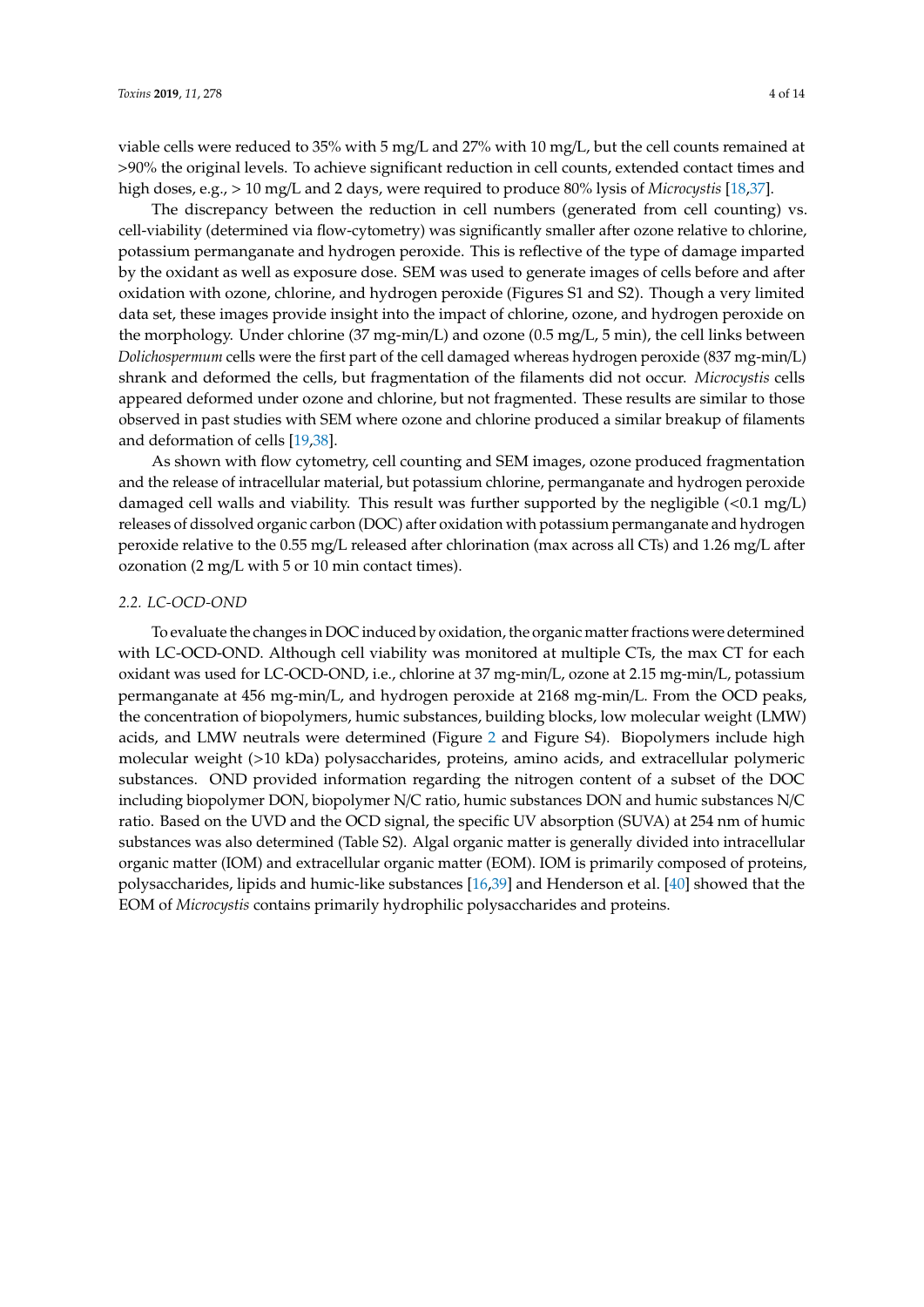viable cells were reduced to 35% with 5 mg/L and 27% with 10 mg/L, but the cell counts remained at >90% the original levels. To achieve significant reduction in cell counts, extended contact times and high doses, e.g., > 10 mg/L and 2 days, were required to produce 80% lysis of *Microcystis* [\[18](#page-12-18)[,37\]](#page-13-7).

The discrepancy between the reduction in cell numbers (generated from cell counting) vs. cell-viability (determined via flow-cytometry) was significantly smaller after ozone relative to chlorine, potassium permanganate and hydrogen peroxide. This is reflective of the type of damage imparted by the oxidant as well as exposure dose. SEM was used to generate images of cells before and after oxidation with ozone, chlorine, and hydrogen peroxide (Figures S1 and S2). Though a very limited data set, these images provide insight into the impact of chlorine, ozone, and hydrogen peroxide on the morphology. Under chlorine (37 mg-min/L) and ozone (0.5 mg/L, 5 min), the cell links between *Dolichospermum* cells were the first part of the cell damaged whereas hydrogen peroxide (837 mg-min/L) shrank and deformed the cells, but fragmentation of the filaments did not occur. *Microcystis* cells appeared deformed under ozone and chlorine, but not fragmented. These results are similar to those observed in past studies with SEM where ozone and chlorine produced a similar breakup of filaments and deformation of cells [\[19](#page-12-12)[,38\]](#page-13-8).

As shown with flow cytometry, cell counting and SEM images, ozone produced fragmentation and the release of intracellular material, but potassium chlorine, permanganate and hydrogen peroxide damaged cell walls and viability. This result was further supported by the negligible  $(<0.1 \text{ mg/L})$ releases of dissolved organic carbon (DOC) after oxidation with potassium permanganate and hydrogen peroxide relative to the 0.55 mg/L released after chlorination (max across all CTs) and 1.26 mg/L after ozonation (2 mg/L with 5 or 10 min contact times).

## *2.2. LC-OCD-OND*

To evaluate the changes in DOC induced by oxidation, the organic matter fractions were determined with LC-OCD-OND. Although cell viability was monitored at multiple CTs, the max CT for each oxidant was used for LC-OCD-OND, i.e., chlorine at 37 mg-min/L, ozone at 2.15 mg-min/L, potassium permanganate at 456 mg-min/L, and hydrogen peroxide at 2168 mg-min/L. From the OCD peaks, the concentration of biopolymers, humic substances, building blocks, low molecular weight (LMW) acids, and LMW neutrals were determined (Figure [2](#page-5-0) and Figure S4). Biopolymers include high molecular weight (>10 kDa) polysaccharides, proteins, amino acids, and extracellular polymeric substances. OND provided information regarding the nitrogen content of a subset of the DOC including biopolymer DON, biopolymer N/C ratio, humic substances DON and humic substances N/C ratio. Based on the UVD and the OCD signal, the specific UV absorption (SUVA) at 254 nm of humic substances was also determined (Table S2). Algal organic matter is generally divided into intracellular organic matter (IOM) and extracellular organic matter (EOM). IOM is primarily composed of proteins, polysaccharides, lipids and humic-like substances [\[16](#page-12-9)[,39\]](#page-13-9) and Henderson et al. [\[40\]](#page-13-10) showed that the EOM of *Microcystis* contains primarily hydrophilic polysaccharides and proteins.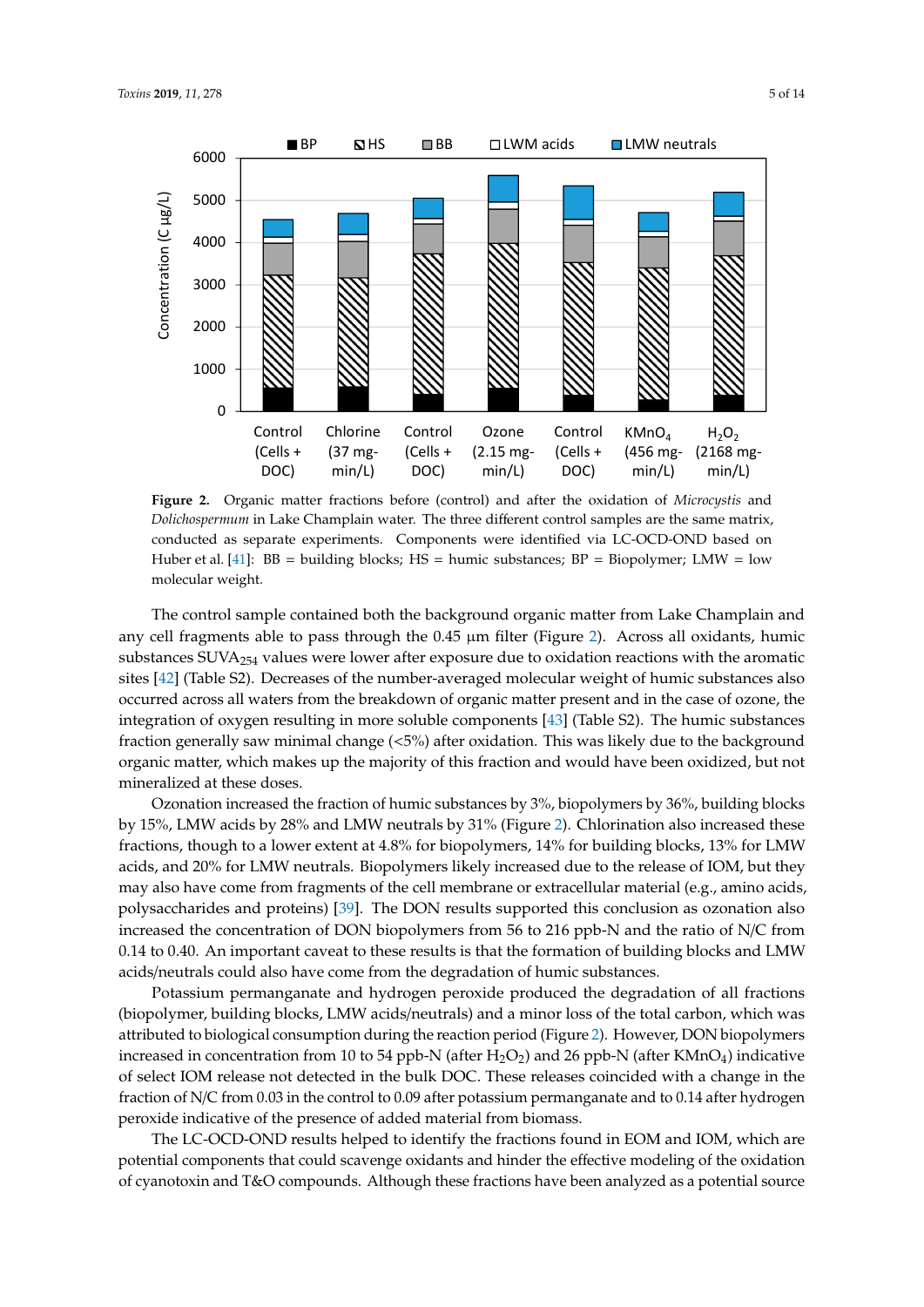<span id="page-5-0"></span>

Dolichospermum in Lake Champlain water. The three different control samples are the same matrix, conducted as separate experiments. Components were identified via LC-OCD-OND based on Huber et al. [\[41\]](#page-13-11): BB = building blocks; HS = humic substances; BP = Biopolymer; LMW = low molecular weight. **Building blocks; HS = humic substances; BP = Biopolymer; LMW = low molecular weight. Figure 2.** Organic matter fractions before (control) and after the oxidation of *Microcystis* and

any cell fragments able to pass through the 0.45 µm filter (Figure [2\)](#page-5-0). Across all oxidants, humic substances SUVA<sub>254</sub> values were lower after exposure due to oxidation reactions with the aromatic sites [\[42\]](#page-13-12) (Table S2). Decreases of the number-averaged molecular weight of humic substances also occurred across all waters from the breakdown of organic matter present and in the case of ozone, the  $\alpha$  occurrent across all waters from the breakdown of organic matter present and in the case of o $\alpha$ the integration of oxygen resulting in more soluble components [43] (Table S2). The humic substances integration of oxygen resulting in more soluble components [\[43\]](#page-13-13) (Table S2). The humic substances fraction generally saw minimal change (<5%) after oxidation. This was likely due to the background fraction generally saw minimal change (<5%) after oxidation. This was likely due to the background organic matter, which makes up the majority of this fraction and would have been oxidized, but not organic matter, which makes up the majority of this fraction and would have been oxidized, but not mineralized at these doses. mineralized at these doses. The control sample contained both the background organic matter from Lake Champlain and

Ozonation increased the fraction of humic substances by 3%, biopolymers by 36%, building Ozonation increased the fraction of humic substances by 3%, biopolymers by 36%, building blocks by 15%, LMW acids by 28% and LMW neutrals by 31% [\(Fi](#page-5-0)gure 2). Chlorination also increased these fractions, though to a lower extent at 4.8% for biopolymers,  $14\%$  for building blocks,  $13\%$  for LMW acids, and 20% for LMW neutrals. Biopolymers likely increased due to the release of IOM, but they may also have come from fragments of the cell membrane or extracellular material (e.g., amino acids, polysaccharides and [prot](#page-13-9)eins) [39]. The DON results supported this conclusion as ozonation also increased the concentration of DON biopolymers from 56 to 216 ppb-N and the ratio of N/C from 0.14 to 0.40. An important caveat to these results is that the formation of building blocks and LMW 0.14 to 0.40. An important caveat to these results is that the formation of building blocks and LMW acids/neutrals could also have come from the degradation of humic substances. acids/neutrals could also have come from the degradation of humic substances.

Potassium permanganate and hydrogen peroxide produced the degradation of all fractions Potassium permanganate and hydrogen peroxide produced the degradation of all fractions (biopolymer, building blocks, LMW acids/neutrals) and a minor loss of the total carbon, which was (biopolymer, building blocks, LMW acids/neutrals) and a minor loss of the total carbon, which was attributed to biological consumption during the reaction period (Figure 2). However, DON attributed to biological consumption during the reaction period (Figure [2\)](#page-5-0). However, DON biopolymers biological concentration from 20 to 54 ppb-N (after H2O2) and 26 ppb-N (after KM O2) and 26 ppb-N (after KMnO4) and 26 ppb-N (after KMnO4) and 26 ppm-N (after KMnO4) and 26 ppm-N (after KMnO4) and 26 ppm-N (after KMnO4) an increased in concentration from 10 to 54 ppb-N (after  $H_2O_2$ ) and 26 ppb-N (after KMnO<sub>4</sub>) indicative of select IOM release not detected in the bulk DOC. These releases coincided with a change in the fraction of N/C from  $0.03$  in the control to  $0.09$  after potassium permanganate and to  $0.14$  after hydrogen peroxide indicative of the presence of added material from biomass.

The LC-OCD-OND results helped to identify the fractions found in EOM and IOM, which are potential components that could scavenge oxidants and hinder the effective modeling of the oxidation of cyanotoxin and T&O compounds. Although these fractions have been analyzed as a potential source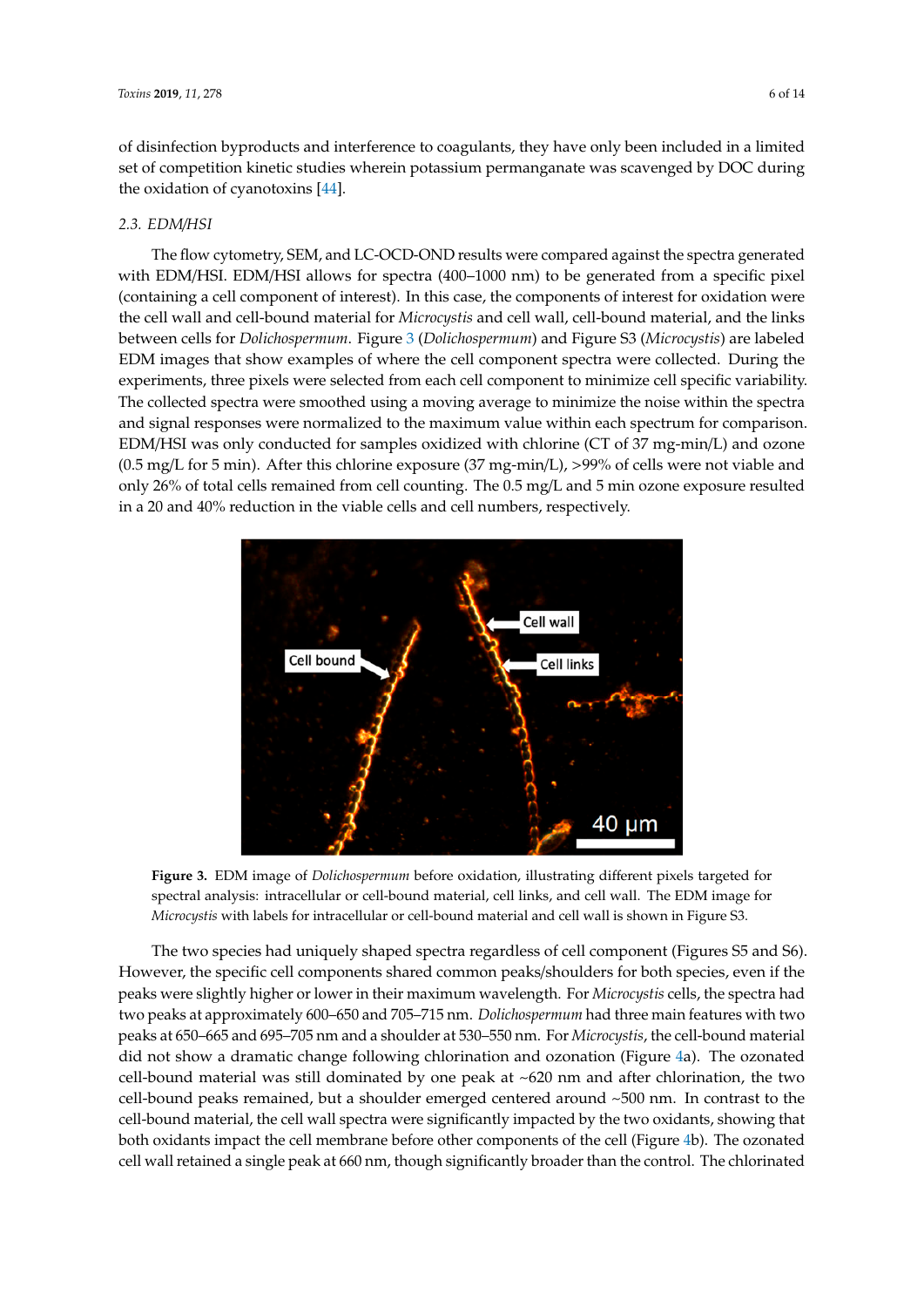of disinfection byproducts and interference to coagulants, they have only been included in a limited set of competition kinetic studies wherein potassium permanganate was scavenged by DOC during the oxidation of cyanotoxins [\[44\]](#page-13-14). potential source of  $\frac{1}{1}$   $\frac{1}{1}$   $\frac{1}{1}$   $\frac{1}{2}$   $\frac{1}{2}$   $\frac{1}{2}$   $\frac{1}{2}$   $\frac{1}{2}$   $\frac{1}{2}$   $\frac{1}{2}$   $\frac{1}{2}$   $\frac{1}{2}$   $\frac{1}{2}$   $\frac{1}{2}$   $\frac{1}{2}$   $\frac{1}{2}$   $\frac{1}{2}$   $\frac{1}{2}$   $\frac{1}{2}$   $\frac{1}{2}$   $\sum_{i=1}^{n}$  included set of computation kinetic studies wherein potassium permanent potassium permanent  $\sum_{i=1}^{n}$ 

# 2.3. EDM/HSI

The flow cytometry, SEM, and LC-OCD-OND results were compared against the spectra generated *2.3. EDM/HSI*  with EDM/HSI. EDM/HSI allows for spectra (400–1000 nm) to be generated from a specific pixel (containing a cell component of interest). In this case, the components of interest for oxidation were the cell wall and cell-bound material for *Microcystis* and cell wall, cell-bound material, and the links between cells for *Dolichospermum*. Figure 3 (*Dolichospermum*) and Figure S3 (*Microcystis*) are labeled EDM images that show examples of where the cell component spectra were collected. During the experiments, three pixels were selected from each cell component to minimize cell specific variability. The collected spectra were smoothed using a moving average to minimize the noise within the spectra and signal responses were normalized to the maximum value within each spectrum for comparison. EDM/HSI was only conducted for samples oxidized with chlorine (CT of 37 mg-min/L) and ozone  $(0.5 \text{ mg/L}$  for 5 min). After this chlorine exposure  $(37 \text{ mg-min/L})$ , >99% of cells were not viable and only 26% of total cells remained from cell counting. The 0.5 mg/L and 5 min ozone exposure resulted in a 20 and 40% reduction in the viable cells and cell numbers, respectively.

<span id="page-6-0"></span>



The two species had uniquely shaped spectra regardless of cell component (Figures S5 and S6). The two species had uniquely shaped spectra regardless of cell component (Figures S5 and S6). However, the specific cell components shared common peaks/shoulders for both species, even if the However, the specific cell components shared common peaks/shoulders for both species, even if the peaks were slightly higher or lower in their maximum wavelength. For *Microcystis* cells, the spectra peaks were slightly higher or lower in their maximum wavelength. For *Microcystis* cells, the spectra had two peaks at approximately 600–650 and 705–715 nm. *Dolichospermum* had three main features with two with two peaks at 650–665 and 695–705 nm and a shoulder at 530–550 nm. For *Microcystis,* the cell-peaks at 650–665 and 695–705 nm and a shoulder at 530–550 nm. For *Microcystis*, the cell-bound material did not show a dram[ati](#page-7-0)c change following chlorination and ozonation (Figure 4a). The ozonated cell-bound material was still dominated by one peak at ~620 nm and after chlorination, the two cell-bound peaks remained, but a shoulder emerged centered around ~500 nm. In contrast to the cell-bound material, the cell wall spectra were significantly impacted by the two oxidants, showing that both oxidants impact the cell membrane before other components of the cell (Figure [4b](#page-7-0)). The ozonated cell wall retained a single peak at 660 nm, though significantly broader than the control. The chlorinated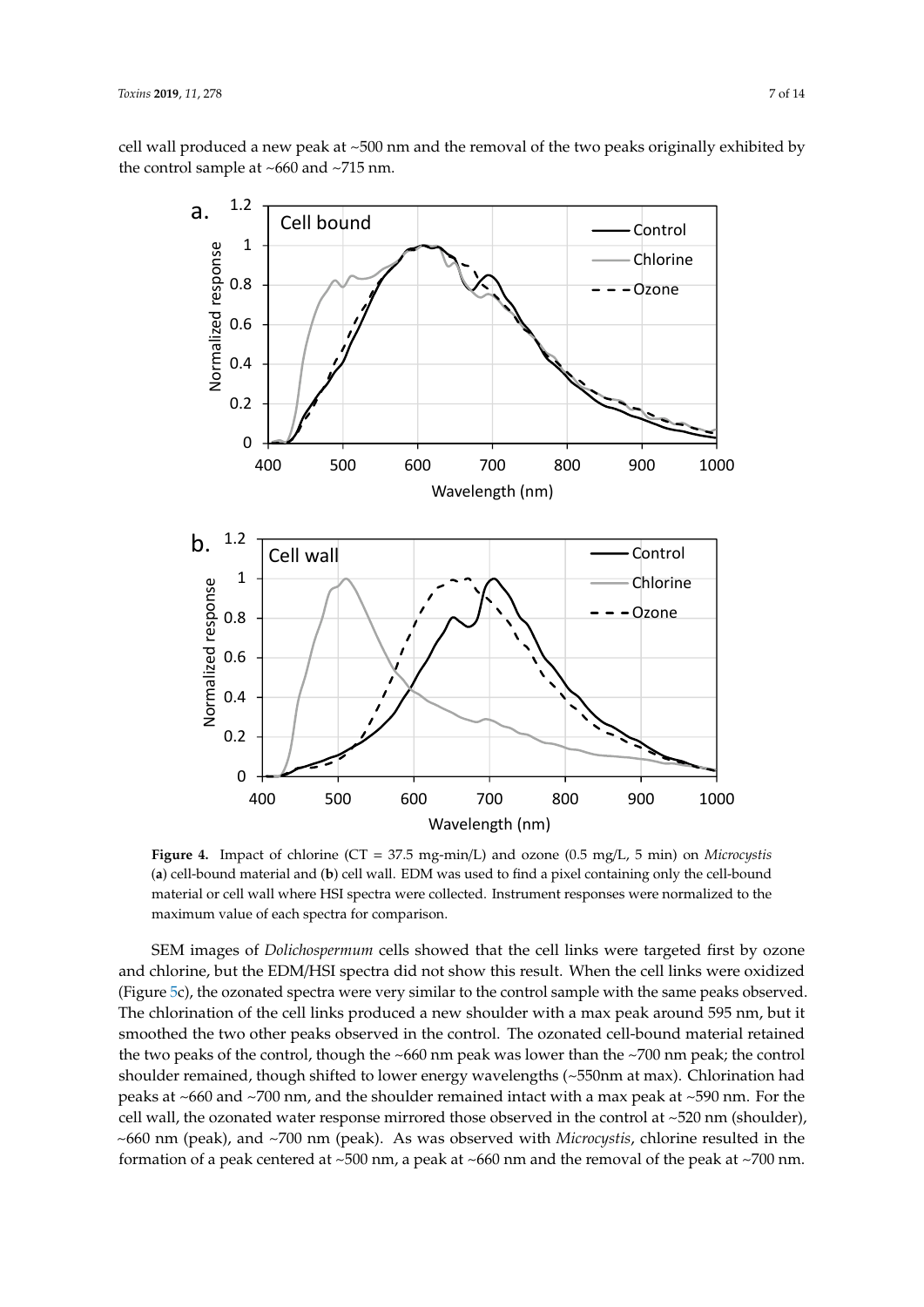cell wall produced a new peak at ~500 nm and the removal of the two peaks originally exhibited by tell wall produced a new peak at ~500 nm and the removal of the two peaks originally exhibited<br>the control sample at ~660 and ~715 nm. t wall produced a new peak at  $\sim$ 500 nm and the removal of the two peaks originally exhibited the control sample at ~660 and ~715 nm.

<span id="page-7-0"></span>

(a) cell-bound material and (b) cell wall. EDM was used to find a pixel containing only the cell-bound bound material and **b**) cell wall. EDM was used to find a pixel containing only the cell-bound material material or cell wall where HSI spectra were collected. Instrument responses were normalized to the maximum value of each spectra for comparison. **Figure 4.** Impact of chlorine (CT = 37.5 mg-min/L) and ozone (0.5 mg/L, 5 min) on *Microcystis*

SEM images of *Dolichospermum* cells showed that the cell links were targeted first by ozone and SEM images of *Dolichospermum* cells showed that the cell links were targeted first by ozone and chlorine, but the EDM/HSI spectra did not show this result. When the cell links were oxidized (Figure 2011) (Figure [5c](#page-8-0)), the ozonated spectra were very similar to the control sample with the same peaks observed.  $\overline{\phantom{a}}$ chlorination of the cell links produced a new shoulder with a max peak around 595 nm, but it The chlorination of the cell links produced a new shoulder with a max peak around 595 nm, but it smoothed the two other peaks observed in the control. The ozonated cell-bound material retained the two peaks of the control, though the ~660 nm peak was lower than the ~700 nm peak; the control shoulder remained, though shifted to lower energy wavelengths (~550nm at max). Chlorination had shoulder remained, though shifted to lower energy wavelengths (~550nm at max). Chlorination had peaks at ~660 and ~700 nm, and the shoulder remained intact with a max peak at ~590 nm. For the peaks at ~660 and ~700 nm, and the shoulder remained intact with a max peak at ~590 nm. For the cell wall, the ozonated water response mirrored those observed in the control at ~520 nm (shoulder), cell wall, the ozonated water response mirrored those observed in the control at ~520 nm (shoulder), ~660 nm (peak), and ~700 nm (peak). As was observed with *Microcystis*, chlorine resulted in the ~660 nm (peak), and ~700 nm (peak). As was observed with *Microcystis*, chlorine resulted in the formation of a peak centered at ~500 nm, a peak at ~660 nm and the removal of the peak at ~700 nm. formation of a peak centered at ~500 nm, a peak at ~660 nm and the removal of the peak at ~700 nm.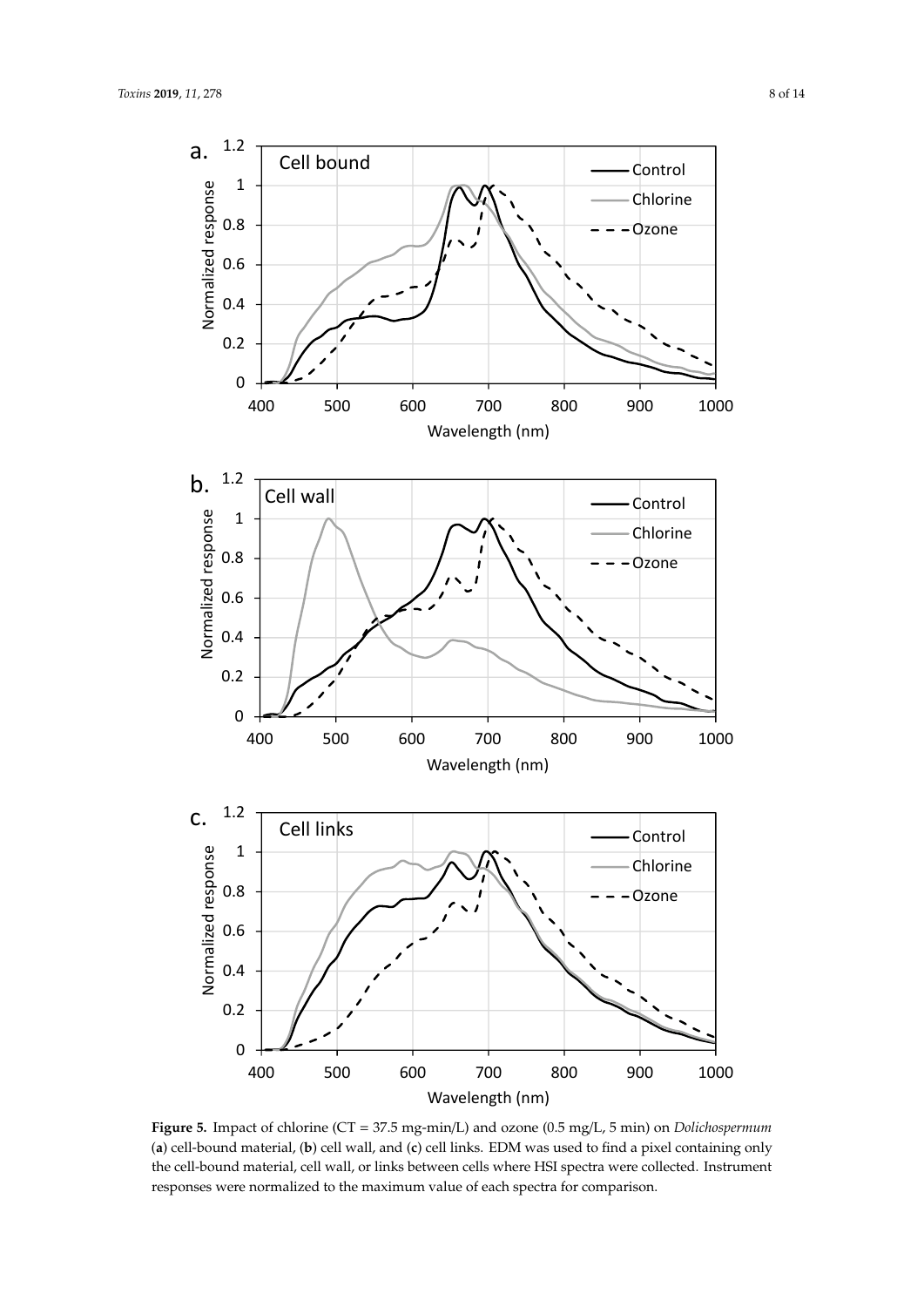<span id="page-8-0"></span>

**Figure 5.** Impact of chlorine (CT = 37.5 mg-min/L) and ozone (0.5 mg/L, 5 min) on *Dolichospermum* (**a**) cell-bound material, (**b**) cell wall, and (**c**) cell links. EDM was used to find a pixel containing only the cell-bound material, cell wall, or links between cells where HSI spectra were collected. Instrument responses were normalized to the maximum value of each spectra for comparison.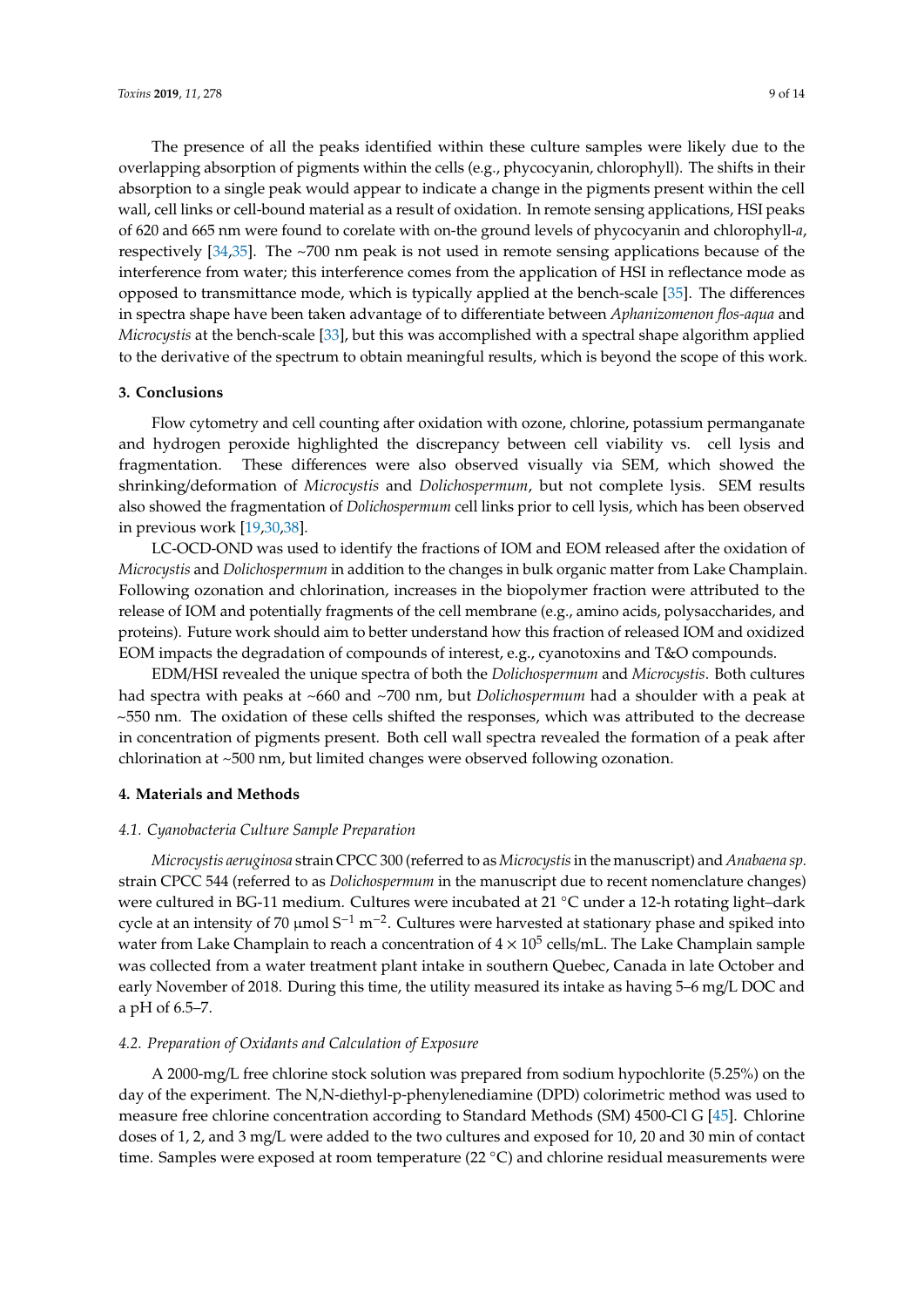The presence of all the peaks identified within these culture samples were likely due to the overlapping absorption of pigments within the cells (e.g., phycocyanin, chlorophyll). The shifts in their absorption to a single peak would appear to indicate a change in the pigments present within the cell wall, cell links or cell-bound material as a result of oxidation. In remote sensing applications, HSI peaks of 620 and 665 nm were found to corelate with on-the ground levels of phycocyanin and chlorophyll-*a*, respectively [\[34,](#page-13-15)[35\]](#page-13-16). The ~700 nm peak is not used in remote sensing applications because of the interference from water; this interference comes from the application of HSI in reflectance mode as opposed to transmittance mode, which is typically applied at the bench-scale [\[35\]](#page-13-16). The differences in spectra shape have been taken advantage of to differentiate between *Aphanizomenon flos-aqua* and *Microcystis* at the bench-scale [\[33\]](#page-13-5), but this was accomplished with a spectral shape algorithm applied to the derivative of the spectrum to obtain meaningful results, which is beyond the scope of this work.

## **3. Conclusions**

Flow cytometry and cell counting after oxidation with ozone, chlorine, potassium permanganate and hydrogen peroxide highlighted the discrepancy between cell viability vs. cell lysis and fragmentation. These differences were also observed visually via SEM, which showed the shrinking/deformation of *Microcystis* and *Dolichospermum*, but not complete lysis. SEM results also showed the fragmentation of *Dolichospermum* cell links prior to cell lysis, which has been observed in previous work [\[19](#page-12-12)[,30](#page-13-17)[,38\]](#page-13-8).

LC-OCD-OND was used to identify the fractions of IOM and EOM released after the oxidation of *Microcystis* and *Dolichospermum* in addition to the changes in bulk organic matter from Lake Champlain. Following ozonation and chlorination, increases in the biopolymer fraction were attributed to the release of IOM and potentially fragments of the cell membrane (e.g., amino acids, polysaccharides, and proteins). Future work should aim to better understand how this fraction of released IOM and oxidized EOM impacts the degradation of compounds of interest, e.g., cyanotoxins and T&O compounds.

EDM/HSI revealed the unique spectra of both the *Dolichospermum* and *Microcystis*. Both cultures had spectra with peaks at ~660 and ~700 nm, but *Dolichospermum* had a shoulder with a peak at ~550 nm. The oxidation of these cells shifted the responses, which was attributed to the decrease in concentration of pigments present. Both cell wall spectra revealed the formation of a peak after chlorination at ~500 nm, but limited changes were observed following ozonation.

#### **4. Materials and Methods**

#### *4.1. Cyanobacteria Culture Sample Preparation*

*Microcystis aeruginosa* strain CPCC 300 (referred to as *Microcystis*in the manuscript) and *Anabaena sp.* strain CPCC 544 (referred to as *Dolichospermum* in the manuscript due to recent nomenclature changes) were cultured in BG-11 medium. Cultures were incubated at 21 ◦C under a 12-h rotating light–dark cycle at an intensity of 70 µmol S<sup>-1</sup> m<sup>-2</sup>. Cultures were harvested at stationary phase and spiked into water from Lake Champlain to reach a concentration of  $4 \times 10^5$  cells/mL. The Lake Champlain sample was collected from a water treatment plant intake in southern Quebec, Canada in late October and early November of 2018. During this time, the utility measured its intake as having 5–6 mg/L DOC and a pH of 6.5–7.

### *4.2. Preparation of Oxidants and Calculation of Exposure*

A 2000-mg/L free chlorine stock solution was prepared from sodium hypochlorite (5.25%) on the day of the experiment. The N,N-diethyl-p-phenylenediamine (DPD) colorimetric method was used to measure free chlorine concentration according to Standard Methods (SM) 4500-Cl G [\[45\]](#page-13-18). Chlorine doses of 1, 2, and 3 mg/L were added to the two cultures and exposed for 10, 20 and 30 min of contact time. Samples were exposed at room temperature (22  $\degree$ C) and chlorine residual measurements were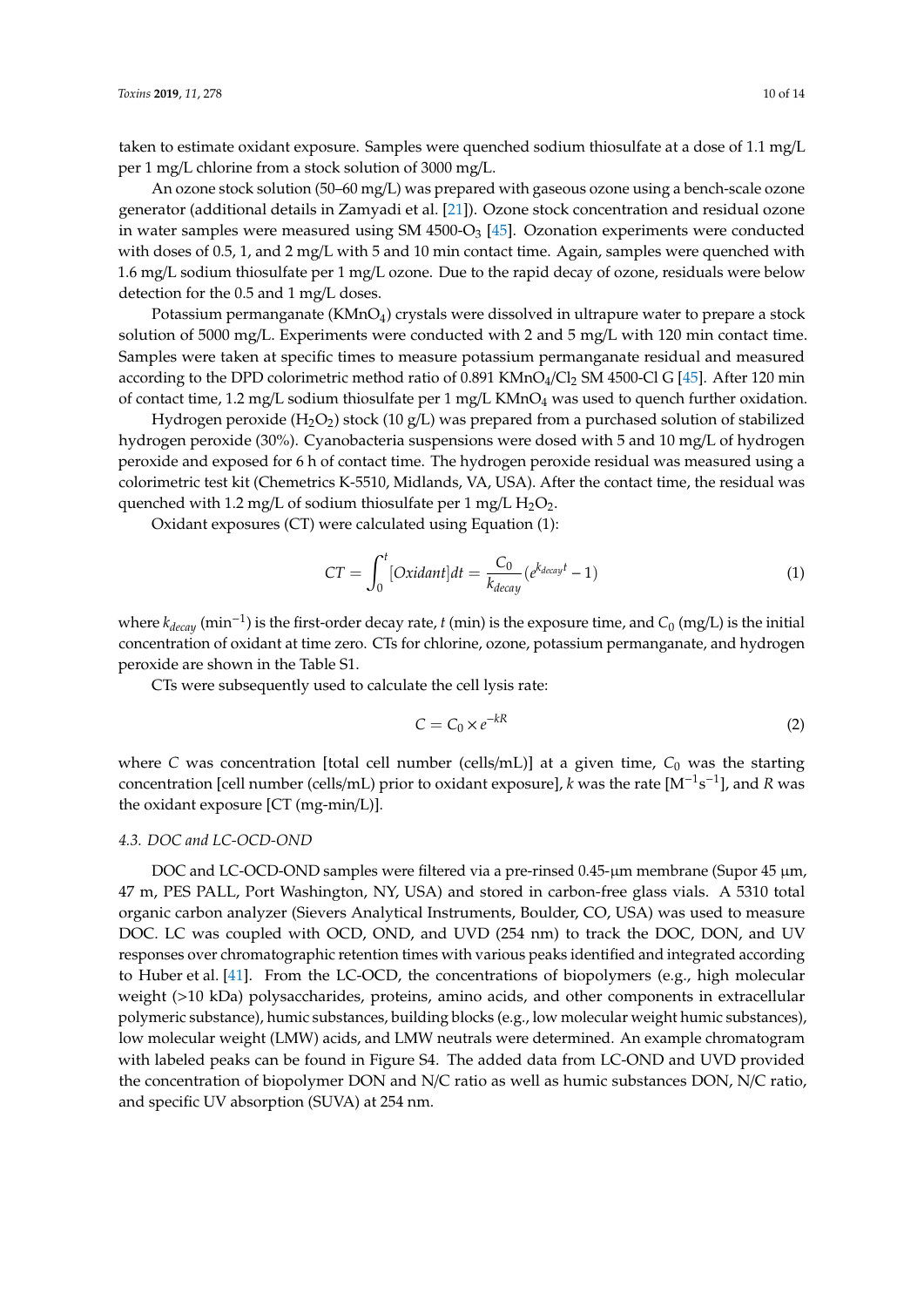taken to estimate oxidant exposure. Samples were quenched sodium thiosulfate at a dose of 1.1 mg/L per 1 mg/L chlorine from a stock solution of 3000 mg/L.

An ozone stock solution (50–60 mg/L) was prepared with gaseous ozone using a bench-scale ozone generator (additional details in Zamyadi et al. [\[21\]](#page-12-11)). Ozone stock concentration and residual ozone in water samples were measured using SM  $4500-O<sub>3</sub>$  [\[45\]](#page-13-18). Ozonation experiments were conducted with doses of 0.5, 1, and 2 mg/L with 5 and 10 min contact time. Again, samples were quenched with 1.6 mg/L sodium thiosulfate per 1 mg/L ozone. Due to the rapid decay of ozone, residuals were below detection for the 0.5 and 1 mg/L doses.

Potassium permanganate (KMnO<sub>4</sub>) crystals were dissolved in ultrapure water to prepare a stock solution of 5000 mg/L. Experiments were conducted with 2 and 5 mg/L with 120 min contact time. Samples were taken at specific times to measure potassium permanganate residual and measured according to the DPD colorimetric method ratio of  $0.891 \text{ KMnO}_4/\text{Cl}_2 \text{ SM } 4500\text{-Cl } G$  [\[45\]](#page-13-18). After 120 min of contact time, 1.2 mg/L sodium thiosulfate per 1 mg/L KMnO<sub>4</sub> was used to quench further oxidation.

Hydrogen peroxide (H<sub>2</sub>O<sub>2</sub>) stock (10 g/L) was prepared from a purchased solution of stabilized hydrogen peroxide (30%). Cyanobacteria suspensions were dosed with 5 and 10 mg/L of hydrogen peroxide and exposed for 6 h of contact time. The hydrogen peroxide residual was measured using a colorimetric test kit (Chemetrics K-5510, Midlands, VA, USA). After the contact time, the residual was quenched with 1.2 mg/L of sodium thiosulfate per 1 mg/L  $H_2O_2$ .

Oxidant exposures (CT) were calculated using Equation (1):

$$
CT = \int_0^t [\text{Oxidant}]dt = \frac{C_0}{k_{decay}}(e^{k_{decay}t} - 1)
$$
 (1)

where *<sup>k</sup>decay* (min−<sup>1</sup> ) is the first-order decay rate, *t* (min) is the exposure time, and *C*<sup>0</sup> (mg/L) is the initial concentration of oxidant at time zero. CTs for chlorine, ozone, potassium permanganate, and hydrogen peroxide are shown in the Table S1.

CTs were subsequently used to calculate the cell lysis rate:

$$
C = C_0 \times e^{-kR} \tag{2}
$$

where *C* was concentration [total cell number (cells/mL)] at a given time,  $C_0$  was the starting concentration [cell number (cells/mL) prior to oxidant exposure], *k* was the rate [M−<sup>1</sup> s −1 ], and *R* was the oxidant exposure [CT (mg-min/L)].

#### *4.3. DOC and LC-OCD-OND*

DOC and LC-OCD-OND samples were filtered via a pre-rinsed 0.45-µm membrane (Supor 45 µm, 47 m, PES PALL, Port Washington, NY, USA) and stored in carbon-free glass vials. A 5310 total organic carbon analyzer (Sievers Analytical Instruments, Boulder, CO, USA) was used to measure DOC. LC was coupled with OCD, OND, and UVD (254 nm) to track the DOC, DON, and UV responses over chromatographic retention times with various peaks identified and integrated according to Huber et al. [\[41\]](#page-13-11). From the LC-OCD, the concentrations of biopolymers (e.g., high molecular weight (>10 kDa) polysaccharides, proteins, amino acids, and other components in extracellular polymeric substance), humic substances, building blocks (e.g., low molecular weight humic substances), low molecular weight (LMW) acids, and LMW neutrals were determined. An example chromatogram with labeled peaks can be found in Figure S4. The added data from LC-OND and UVD provided the concentration of biopolymer DON and N/C ratio as well as humic substances DON, N/C ratio, and specific UV absorption (SUVA) at 254 nm.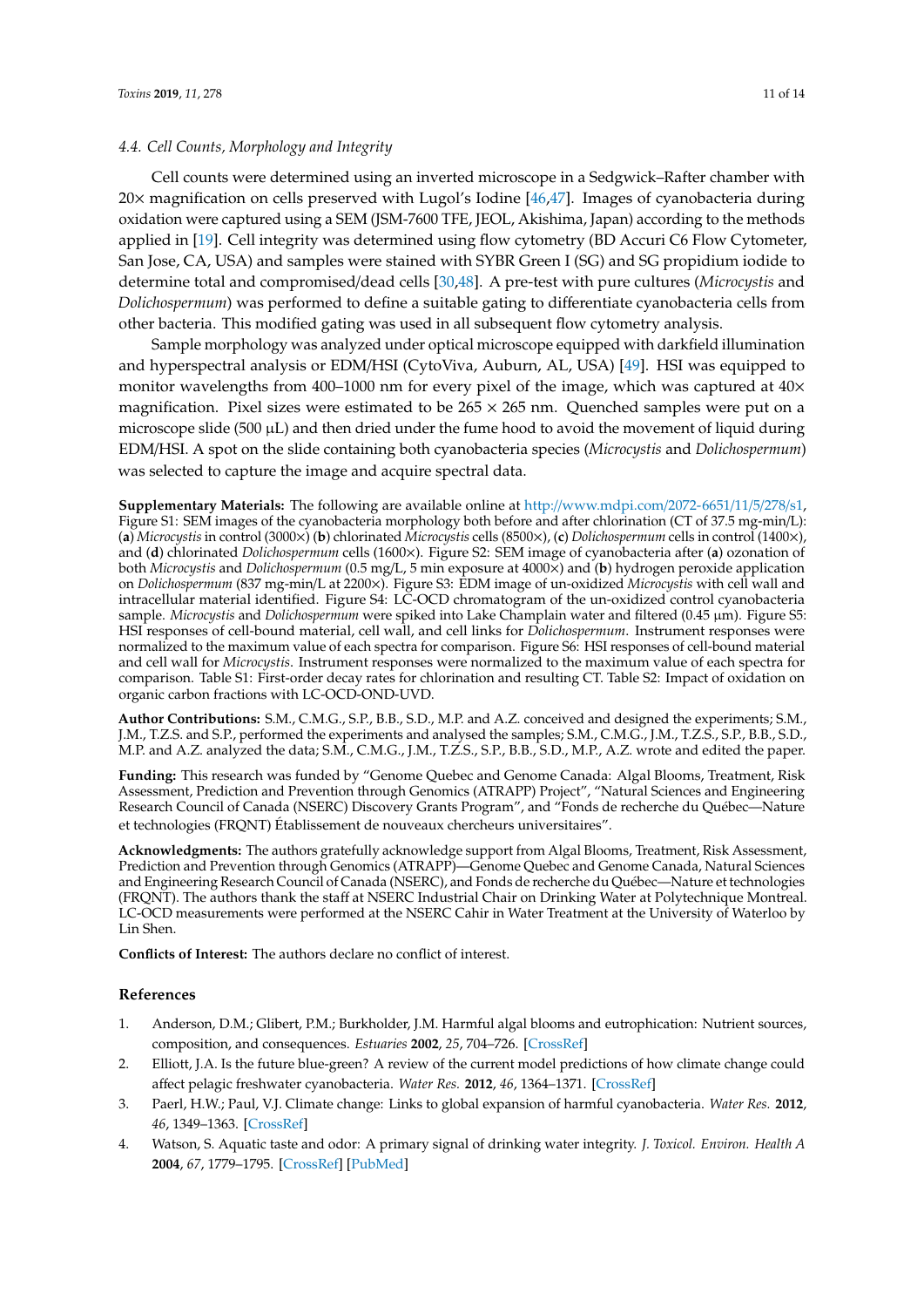#### *4.4. Cell Counts, Morphology and Integrity*

Cell counts were determined using an inverted microscope in a Sedgwick–Rafter chamber with 20× magnification on cells preserved with Lugol's Iodine [\[46,](#page-14-0)[47\]](#page-14-1). Images of cyanobacteria during oxidation were captured using a SEM (JSM-7600 TFE, JEOL, Akishima, Japan) according to the methods applied in [\[19\]](#page-12-12). Cell integrity was determined using flow cytometry (BD Accuri C6 Flow Cytometer, San Jose, CA, USA) and samples were stained with SYBR Green I (SG) and SG propidium iodide to determine total and compromised/dead cells [\[30](#page-13-17)[,48\]](#page-14-2). A pre-test with pure cultures (*Microcystis* and *Dolichospermum*) was performed to define a suitable gating to differentiate cyanobacteria cells from other bacteria. This modified gating was used in all subsequent flow cytometry analysis.

Sample morphology was analyzed under optical microscope equipped with darkfield illumination and hyperspectral analysis or EDM/HSI (CytoViva, Auburn, AL, USA) [\[49\]](#page-14-3). HSI was equipped to monitor wavelengths from 400–1000 nm for every pixel of the image, which was captured at  $40\times$ magnification. Pixel sizes were estimated to be  $265 \times 265$  nm. Quenched samples were put on a microscope slide (500  $\mu$ L) and then dried under the fume hood to avoid the movement of liquid during EDM/HSI. A spot on the slide containing both cyanobacteria species (*Microcystis* and *Dolichospermum*) was selected to capture the image and acquire spectral data.

**Supplementary Materials:** The following are available online at http://[www.mdpi.com](http://www.mdpi.com/2072-6651/11/5/278/s1)/2072-6651/11/5/278/s1, Figure S1: SEM images of the cyanobacteria morphology both before and after chlorination (CT of 37.5 mg-min/L): (**a**) *Microcystis* in control (3000×) (**b**) chlorinated *Microcystis* cells (8500×), (**c**) *Dolichospermum* cells in control (1400×), and (**d**) chlorinated *Dolichospermum* cells (1600×). Figure S2: SEM image of cyanobacteria after (**a**) ozonation of both *Microcystis* and *Dolichospermum* (0.5 mg/L, 5 min exposure at 4000×) and (**b**) hydrogen peroxide application on *Dolichospermum* (837 mg-min/L at 2200×). Figure S3: EDM image of un-oxidized *Microcystis* with cell wall and intracellular material identified. Figure S4: LC-OCD chromatogram of the un-oxidized control cyanobacteria sample. *Microcystis* and *Dolichospermum* were spiked into Lake Champlain water and filtered (0.45 µm). Figure S5: HSI responses of cell-bound material, cell wall, and cell links for *Dolichospermum*. Instrument responses were normalized to the maximum value of each spectra for comparison. Figure S6: HSI responses of cell-bound material and cell wall for *Microcystis*. Instrument responses were normalized to the maximum value of each spectra for comparison. Table S1: First-order decay rates for chlorination and resulting CT. Table S2: Impact of oxidation on organic carbon fractions with LC-OCD-OND-UVD.

**Author Contributions:** S.M., C.M.G., S.P., B.B., S.D., M.P. and A.Z. conceived and designed the experiments; S.M., J.M., T.Z.S. and S.P., performed the experiments and analysed the samples; S.M., C.M.G., J.M., T.Z.S., S.P., B.B., S.D., M.P. and A.Z. analyzed the data; S.M., C.M.G., J.M., T.Z.S., S.P., B.B., S.D., M.P., A.Z. wrote and edited the paper.

**Funding:** This research was funded by "Genome Quebec and Genome Canada: Algal Blooms, Treatment, Risk Assessment, Prediction and Prevention through Genomics (ATRAPP) Project", "Natural Sciences and Engineering Research Council of Canada (NSERC) Discovery Grants Program", and "Fonds de recherche du Québec—Nature et technologies (FRQNT) Établissement de nouveaux chercheurs universitaires".

**Acknowledgments:** The authors gratefully acknowledge support from Algal Blooms, Treatment, Risk Assessment, Prediction and Prevention through Genomics (ATRAPP)—Genome Quebec and Genome Canada, Natural Sciences and Engineering Research Council of Canada (NSERC), and Fonds de recherche du Québec—Nature et technologies (FRQNT). The authors thank the staff at NSERC Industrial Chair on Drinking Water at Polytechnique Montreal. LC-OCD measurements were performed at the NSERC Cahir in Water Treatment at the University of Waterloo by Lin Shen.

**Conflicts of Interest:** The authors declare no conflict of interest.

#### **References**

- <span id="page-11-0"></span>1. Anderson, D.M.; Glibert, P.M.; Burkholder, J.M. Harmful algal blooms and eutrophication: Nutrient sources, composition, and consequences. *Estuaries* **2002**, *25*, 704–726. [\[CrossRef\]](http://dx.doi.org/10.1007/BF02804901)
- 2. Elliott, J.A. Is the future blue-green? A review of the current model predictions of how climate change could affect pelagic freshwater cyanobacteria. *Water Res.* **2012**, *46*, 1364–1371. [\[CrossRef\]](http://dx.doi.org/10.1016/j.watres.2011.12.018)
- <span id="page-11-1"></span>3. Paerl, H.W.; Paul, V.J. Climate change: Links to global expansion of harmful cyanobacteria. *Water Res.* **2012**, *46*, 1349–1363. [\[CrossRef\]](http://dx.doi.org/10.1016/j.watres.2011.08.002)
- <span id="page-11-2"></span>4. Watson, S. Aquatic taste and odor: A primary signal of drinking water integrity. *J. Toxicol. Environ. Health A* **2004**, *67*, 1779–1795. [\[CrossRef\]](http://dx.doi.org/10.1080/15287390490492377) [\[PubMed\]](http://www.ncbi.nlm.nih.gov/pubmed/15371216)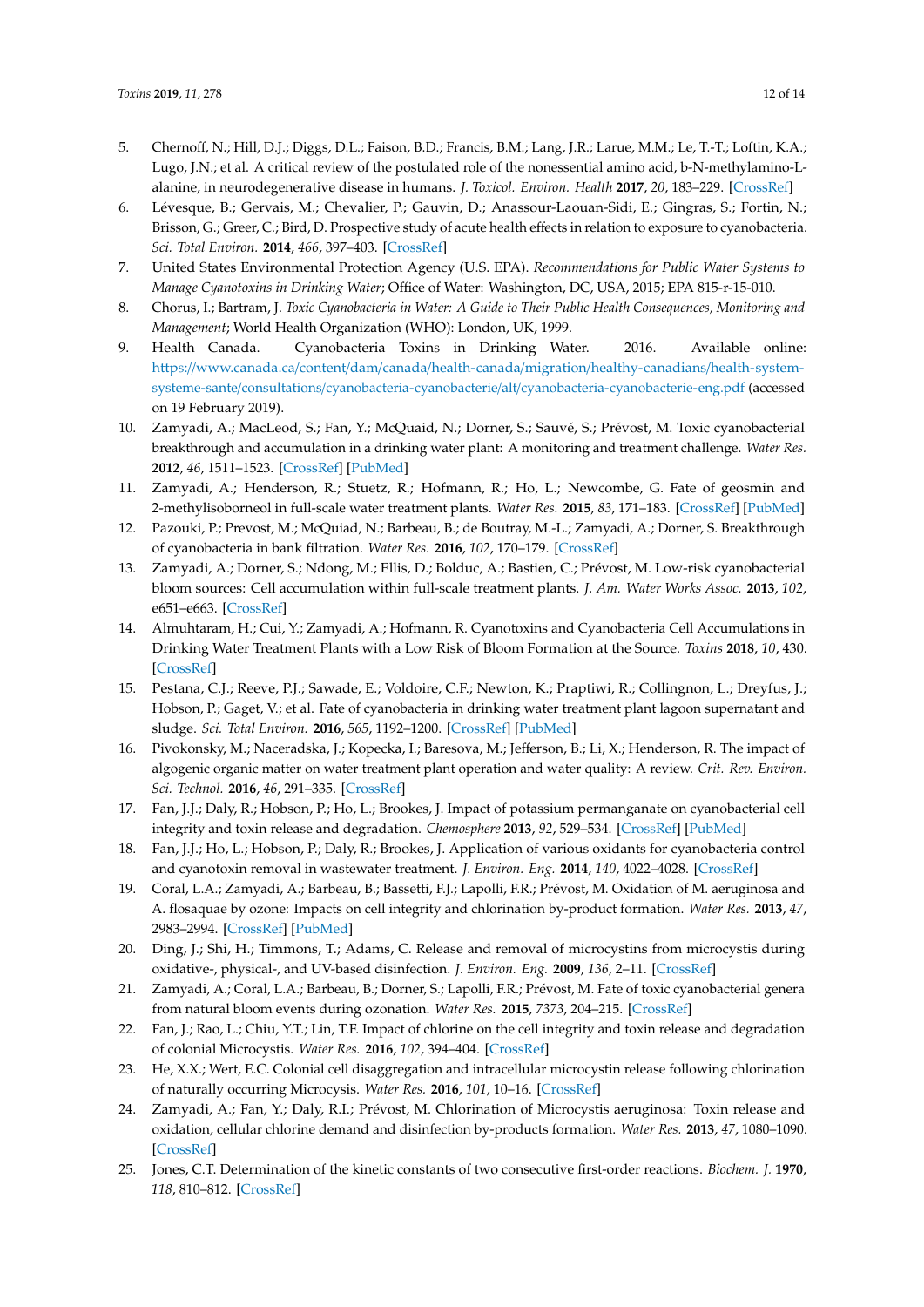- <span id="page-12-0"></span>5. Chernoff, N.; Hill, D.J.; Diggs, D.L.; Faison, B.D.; Francis, B.M.; Lang, J.R.; Larue, M.M.; Le, T.-T.; Loftin, K.A.; Lugo, J.N.; et al. A critical review of the postulated role of the nonessential amino acid, b-N-methylamino-Lalanine, in neurodegenerative disease in humans. *J. Toxicol. Environ. Health* **2017**, *20*, 183–229. [\[CrossRef\]](http://dx.doi.org/10.1080/10937404.2017.1297592)
- <span id="page-12-1"></span>6. Lévesque, B.; Gervais, M.; Chevalier, P.; Gauvin, D.; Anassour-Laouan-Sidi, E.; Gingras, S.; Fortin, N.; Brisson, G.; Greer, C.; Bird, D. Prospective study of acute health effects in relation to exposure to cyanobacteria. *Sci. Total Environ.* **2014**, *466*, 397–403. [\[CrossRef\]](http://dx.doi.org/10.1016/j.scitotenv.2013.07.045)
- <span id="page-12-2"></span>7. United States Environmental Protection Agency (U.S. EPA). *Recommendations for Public Water Systems to Manage Cyanotoxins in Drinking Water*; Office of Water: Washington, DC, USA, 2015; EPA 815-r-15-010.
- 8. Chorus, I.; Bartram, J. *Toxic Cyanobacteria in Water: A Guide to Their Public Health Consequences, Monitoring and Management*; World Health Organization (WHO): London, UK, 1999.
- <span id="page-12-3"></span>9. Health Canada. Cyanobacteria Toxins in Drinking Water. 2016. Available online: https://www.canada.ca/content/dam/canada/health-canada/migration/[healthy-canadians](https://www.canada.ca/content/dam/canada/health-canada/migration/healthy-canadians/health-system-systeme-sante/consultations/cyanobacteria-cyanobacterie/alt/cyanobacteria-cyanobacterie-eng.pdf)/health-systemsysteme-sante/consultations/cyanobacteria-cyanobacterie/alt/[cyanobacteria-cyanobacterie-eng.pdf](https://www.canada.ca/content/dam/canada/health-canada/migration/healthy-canadians/health-system-systeme-sante/consultations/cyanobacteria-cyanobacterie/alt/cyanobacteria-cyanobacterie-eng.pdf) (accessed on 19 February 2019).
- <span id="page-12-4"></span>10. Zamyadi, A.; MacLeod, S.; Fan, Y.; McQuaid, N.; Dorner, S.; Sauvé, S.; Prévost, M. Toxic cyanobacterial breakthrough and accumulation in a drinking water plant: A monitoring and treatment challenge. *Water Res.* **2012**, *46*, 1511–1523. [\[CrossRef\]](http://dx.doi.org/10.1016/j.watres.2011.11.012) [\[PubMed\]](http://www.ncbi.nlm.nih.gov/pubmed/22137293)
- 11. Zamyadi, A.; Henderson, R.; Stuetz, R.; Hofmann, R.; Ho, L.; Newcombe, G. Fate of geosmin and 2-methylisoborneol in full-scale water treatment plants. *Water Res.* **2015**, *83*, 171–183. [\[CrossRef\]](http://dx.doi.org/10.1016/j.watres.2015.06.038) [\[PubMed\]](http://www.ncbi.nlm.nih.gov/pubmed/26143274)
- <span id="page-12-5"></span>12. Pazouki, P.; Prevost, M.; McQuiad, N.; Barbeau, B.; de Boutray, M.-L.; Zamyadi, A.; Dorner, S. Breakthrough of cyanobacteria in bank filtration. *Water Res.* **2016**, *102*, 170–179. [\[CrossRef\]](http://dx.doi.org/10.1016/j.watres.2016.06.037)
- <span id="page-12-6"></span>13. Zamyadi, A.; Dorner, S.; Ndong, M.; Ellis, D.; Bolduc, A.; Bastien, C.; Prévost, M. Low-risk cyanobacterial bloom sources: Cell accumulation within full-scale treatment plants. *J. Am. Water Works Assoc.* **2013**, *102*, e651–e663. [\[CrossRef\]](http://dx.doi.org/10.5942/jawwa.2013.105.0141)
- <span id="page-12-7"></span>14. Almuhtaram, H.; Cui, Y.; Zamyadi, A.; Hofmann, R. Cyanotoxins and Cyanobacteria Cell Accumulations in Drinking Water Treatment Plants with a Low Risk of Bloom Formation at the Source. *Toxins* **2018**, *10*, 430. [\[CrossRef\]](http://dx.doi.org/10.3390/toxins10110430)
- <span id="page-12-8"></span>15. Pestana, C.J.; Reeve, P.J.; Sawade, E.; Voldoire, C.F.; Newton, K.; Praptiwi, R.; Collingnon, L.; Dreyfus, J.; Hobson, P.; Gaget, V.; et al. Fate of cyanobacteria in drinking water treatment plant lagoon supernatant and sludge. *Sci. Total Environ.* **2016**, *565*, 1192–1200. [\[CrossRef\]](http://dx.doi.org/10.1016/j.scitotenv.2016.05.173) [\[PubMed\]](http://www.ncbi.nlm.nih.gov/pubmed/27265732)
- <span id="page-12-9"></span>16. Pivokonsky, M.; Naceradska, J.; Kopecka, I.; Baresova, M.; Jefferson, B.; Li, X.; Henderson, R. The impact of algogenic organic matter on water treatment plant operation and water quality: A review. *Crit. Rev. Environ. Sci. Technol.* **2016**, *46*, 291–335. [\[CrossRef\]](http://dx.doi.org/10.1080/10643389.2015.1087369)
- <span id="page-12-10"></span>17. Fan, J.J.; Daly, R.; Hobson, P.; Ho, L.; Brookes, J. Impact of potassium permanganate on cyanobacterial cell integrity and toxin release and degradation. *Chemosphere* **2013**, *92*, 529–534. [\[CrossRef\]](http://dx.doi.org/10.1016/j.chemosphere.2013.03.022) [\[PubMed\]](http://www.ncbi.nlm.nih.gov/pubmed/23664445)
- <span id="page-12-18"></span>18. Fan, J.J.; Ho, L.; Hobson, P.; Daly, R.; Brookes, J. Application of various oxidants for cyanobacteria control and cyanotoxin removal in wastewater treatment. *J. Environ. Eng.* **2014**, *140*, 4022–4028. [\[CrossRef\]](http://dx.doi.org/10.1061/(ASCE)EE.1943-7870.0000852)
- <span id="page-12-12"></span>19. Coral, L.A.; Zamyadi, A.; Barbeau, B.; Bassetti, F.J.; Lapolli, F.R.; Prévost, M. Oxidation of M. aeruginosa and A. flosaquae by ozone: Impacts on cell integrity and chlorination by-product formation. *Water Res.* **2013**, *47*, 2983–2994. [\[CrossRef\]](http://dx.doi.org/10.1016/j.watres.2013.03.012) [\[PubMed\]](http://www.ncbi.nlm.nih.gov/pubmed/23561505)
- <span id="page-12-13"></span>20. Ding, J.; Shi, H.; Timmons, T.; Adams, C. Release and removal of microcystins from microcystis during oxidative-, physical-, and UV-based disinfection. *J. Environ. Eng.* **2009**, *136*, 2–11. [\[CrossRef\]](http://dx.doi.org/10.1061/(ASCE)EE.1943-7870.0000114)
- <span id="page-12-11"></span>21. Zamyadi, A.; Coral, L.A.; Barbeau, B.; Dorner, S.; Lapolli, F.R.; Prévost, M. Fate of toxic cyanobacterial genera from natural bloom events during ozonation. *Water Res.* **2015**, *7373*, 204–215. [\[CrossRef\]](http://dx.doi.org/10.1016/j.watres.2015.01.029)
- <span id="page-12-14"></span>22. Fan, J.; Rao, L.; Chiu, Y.T.; Lin, T.F. Impact of chlorine on the cell integrity and toxin release and degradation of colonial Microcystis. *Water Res.* **2016**, *102*, 394–404. [\[CrossRef\]](http://dx.doi.org/10.1016/j.watres.2016.06.053)
- <span id="page-12-15"></span>23. He, X.X.; Wert, E.C. Colonial cell disaggregation and intracellular microcystin release following chlorination of naturally occurring Microcysis. *Water Res.* **2016**, *101*, 10–16. [\[CrossRef\]](http://dx.doi.org/10.1016/j.watres.2016.05.057)
- <span id="page-12-16"></span>24. Zamyadi, A.; Fan, Y.; Daly, R.I.; Prévost, M. Chlorination of Microcystis aeruginosa: Toxin release and oxidation, cellular chlorine demand and disinfection by-products formation. *Water Res.* **2013**, *47*, 1080–1090. [\[CrossRef\]](http://dx.doi.org/10.1016/j.watres.2012.11.031)
- <span id="page-12-17"></span>25. Jones, C.T. Determination of the kinetic constants of two consecutive first-order reactions. *Biochem. J.* **1970**, *118*, 810–812. [\[CrossRef\]](http://dx.doi.org/10.1042/bj1180810)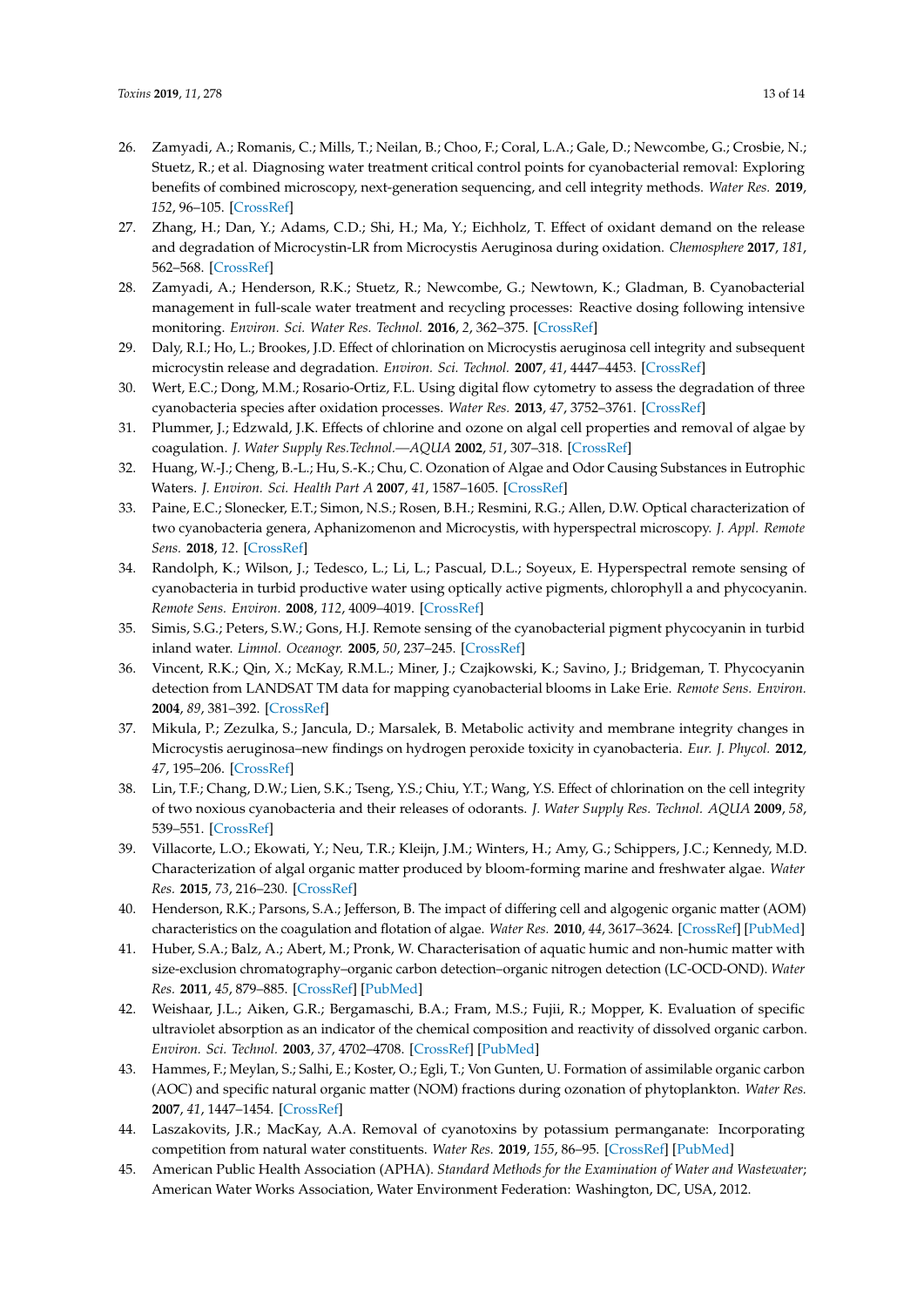- <span id="page-13-0"></span>26. Zamyadi, A.; Romanis, C.; Mills, T.; Neilan, B.; Choo, F.; Coral, L.A.; Gale, D.; Newcombe, G.; Crosbie, N.; Stuetz, R.; et al. Diagnosing water treatment critical control points for cyanobacterial removal: Exploring benefits of combined microscopy, next-generation sequencing, and cell integrity methods. *Water Res.* **2019**, *152*, 96–105. [\[CrossRef\]](http://dx.doi.org/10.1016/j.watres.2019.01.002)
- <span id="page-13-1"></span>27. Zhang, H.; Dan, Y.; Adams, C.D.; Shi, H.; Ma, Y.; Eichholz, T. Effect of oxidant demand on the release and degradation of Microcystin-LR from Microcystis Aeruginosa during oxidation. *Chemosphere* **2017**, *181*, 562–568. [\[CrossRef\]](http://dx.doi.org/10.1016/j.chemosphere.2017.04.120)
- <span id="page-13-2"></span>28. Zamyadi, A.; Henderson, R.K.; Stuetz, R.; Newcombe, G.; Newtown, K.; Gladman, B. Cyanobacterial management in full-scale water treatment and recycling processes: Reactive dosing following intensive monitoring. *Environ. Sci. Water Res. Technol.* **2016**, *2*, 362–375. [\[CrossRef\]](http://dx.doi.org/10.1039/C5EW00269A)
- <span id="page-13-3"></span>29. Daly, R.I.; Ho, L.; Brookes, J.D. Effect of chlorination on Microcystis aeruginosa cell integrity and subsequent microcystin release and degradation. *Environ. Sci. Technol.* **2007**, *41*, 4447–4453. [\[CrossRef\]](http://dx.doi.org/10.1021/es070318s)
- <span id="page-13-17"></span>30. Wert, E.C.; Dong, M.M.; Rosario-Ortiz, F.L. Using digital flow cytometry to assess the degradation of three cyanobacteria species after oxidation processes. *Water Res.* **2013**, *47*, 3752–3761. [\[CrossRef\]](http://dx.doi.org/10.1016/j.watres.2013.04.038)
- 31. Plummer, J.; Edzwald, J.K. Effects of chlorine and ozone on algal cell properties and removal of algae by coagulation. *J. Water Supply Res.Technol.—AQUA* **2002**, *51*, 307–318. [\[CrossRef\]](http://dx.doi.org/10.2166/aqua.2002.0027)
- <span id="page-13-4"></span>32. Huang, W.-J.; Cheng, B.-L.; Hu, S.-K.; Chu, C. Ozonation of Algae and Odor Causing Substances in Eutrophic Waters. *J. Environ. Sci. Health Part A* **2007**, *41*, 1587–1605. [\[CrossRef\]](http://dx.doi.org/10.1080/10934520600754128)
- <span id="page-13-5"></span>33. Paine, E.C.; Slonecker, E.T.; Simon, N.S.; Rosen, B.H.; Resmini, R.G.; Allen, D.W. Optical characterization of two cyanobacteria genera, Aphanizomenon and Microcystis, with hyperspectral microscopy. *J. Appl. Remote Sens.* **2018**, *12*. [\[CrossRef\]](http://dx.doi.org/10.1117/1.JRS.12.036013)
- <span id="page-13-15"></span>34. Randolph, K.; Wilson, J.; Tedesco, L.; Li, L.; Pascual, D.L.; Soyeux, E. Hyperspectral remote sensing of cyanobacteria in turbid productive water using optically active pigments, chlorophyll a and phycocyanin. *Remote Sens. Environ.* **2008**, *112*, 4009–4019. [\[CrossRef\]](http://dx.doi.org/10.1016/j.rse.2008.06.002)
- <span id="page-13-16"></span>35. Simis, S.G.; Peters, S.W.; Gons, H.J. Remote sensing of the cyanobacterial pigment phycocyanin in turbid inland water. *Limnol. Oceanogr.* **2005**, *50*, 237–245. [\[CrossRef\]](http://dx.doi.org/10.4319/lo.2005.50.1.0237)
- <span id="page-13-6"></span>36. Vincent, R.K.; Qin, X.; McKay, R.M.L.; Miner, J.; Czajkowski, K.; Savino, J.; Bridgeman, T. Phycocyanin detection from LANDSAT TM data for mapping cyanobacterial blooms in Lake Erie. *Remote Sens. Environ.* **2004**, *89*, 381–392. [\[CrossRef\]](http://dx.doi.org/10.1016/j.rse.2003.10.014)
- <span id="page-13-7"></span>37. Mikula, P.; Zezulka, S.; Jancula, D.; Marsalek, B. Metabolic activity and membrane integrity changes in Microcystis aeruginosa–new findings on hydrogen peroxide toxicity in cyanobacteria. *Eur. J. Phycol.* **2012**, *47*, 195–206. [\[CrossRef\]](http://dx.doi.org/10.1080/09670262.2012.687144)
- <span id="page-13-8"></span>38. Lin, T.F.; Chang, D.W.; Lien, S.K.; Tseng, Y.S.; Chiu, Y.T.; Wang, Y.S. Effect of chlorination on the cell integrity of two noxious cyanobacteria and their releases of odorants. *J. Water Supply Res. Technol. AQUA* **2009**, *58*, 539–551. [\[CrossRef\]](http://dx.doi.org/10.2166/aqua.2009.117)
- <span id="page-13-9"></span>39. Villacorte, L.O.; Ekowati, Y.; Neu, T.R.; Kleijn, J.M.; Winters, H.; Amy, G.; Schippers, J.C.; Kennedy, M.D. Characterization of algal organic matter produced by bloom-forming marine and freshwater algae. *Water Res.* **2015**, *73*, 216–230. [\[CrossRef\]](http://dx.doi.org/10.1016/j.watres.2015.01.028)
- <span id="page-13-10"></span>40. Henderson, R.K.; Parsons, S.A.; Jefferson, B. The impact of differing cell and algogenic organic matter (AOM) characteristics on the coagulation and flotation of algae. *Water Res.* **2010**, *44*, 3617–3624. [\[CrossRef\]](http://dx.doi.org/10.1016/j.watres.2010.04.016) [\[PubMed\]](http://www.ncbi.nlm.nih.gov/pubmed/20462626)
- <span id="page-13-11"></span>41. Huber, S.A.; Balz, A.; Abert, M.; Pronk, W. Characterisation of aquatic humic and non-humic matter with size-exclusion chromatography–organic carbon detection–organic nitrogen detection (LC-OCD-OND). *Water Res.* **2011**, *45*, 879–885. [\[CrossRef\]](http://dx.doi.org/10.1016/j.watres.2010.09.023) [\[PubMed\]](http://www.ncbi.nlm.nih.gov/pubmed/20937513)
- <span id="page-13-12"></span>42. Weishaar, J.L.; Aiken, G.R.; Bergamaschi, B.A.; Fram, M.S.; Fujii, R.; Mopper, K. Evaluation of specific ultraviolet absorption as an indicator of the chemical composition and reactivity of dissolved organic carbon. *Environ. Sci. Technol.* **2003**, *37*, 4702–4708. [\[CrossRef\]](http://dx.doi.org/10.1021/es030360x) [\[PubMed\]](http://www.ncbi.nlm.nih.gov/pubmed/14594381)
- <span id="page-13-13"></span>43. Hammes, F.; Meylan, S.; Salhi, E.; Koster, O.; Egli, T.; Von Gunten, U. Formation of assimilable organic carbon (AOC) and specific natural organic matter (NOM) fractions during ozonation of phytoplankton. *Water Res.* **2007**, *41*, 1447–1454. [\[CrossRef\]](http://dx.doi.org/10.1016/j.watres.2007.01.001)
- <span id="page-13-14"></span>44. Laszakovits, J.R.; MacKay, A.A. Removal of cyanotoxins by potassium permanganate: Incorporating competition from natural water constituents. *Water Res.* **2019**, *155*, 86–95. [\[CrossRef\]](http://dx.doi.org/10.1016/j.watres.2019.02.018) [\[PubMed\]](http://www.ncbi.nlm.nih.gov/pubmed/30831427)
- <span id="page-13-18"></span>45. American Public Health Association (APHA). *Standard Methods for the Examination of Water and Wastewater*; American Water Works Association, Water Environment Federation: Washington, DC, USA, 2012.